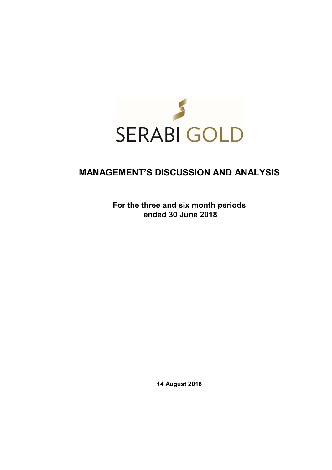

# **MANAGEMENT'S DISCUSSION AND ANALYSIS**

**For the three and six month periods ended 30 June 2018** 

**14 August 2018**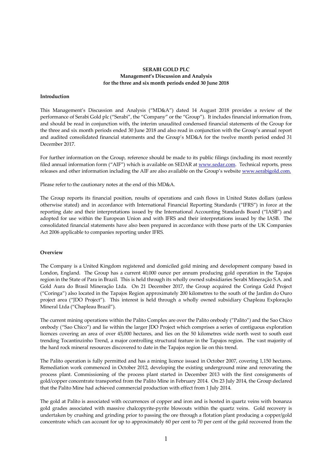## **SERABI GOLD PLC Management's Discussion and Analysis for the three and six month periods ended 30 June 2018**

## **Introduction**

This Management's Discussion and Analysis ("MD&A") dated 14 August 2018 provides a review of the performance of Serabi Gold plc ("Serabi", the "Company" or the "Group"). It includes financial information from, and should be read in conjunction with, the interim unaudited condensed financial statements of the Group for the three and six month periods ended 30 June 2018 and also read in conjunction with the Group's annual report and audited consolidated financial statements and the Group's MD&A for the twelve month period ended 31 December 2017.

For further information on the Group, reference should be made to its public filings (including its most recently filed annual information form ("AIF") which is available on SEDAR at www.sedar.com. Technical reports, press releases and other information including the AIF are also available on the Group's website www.serabigold.com.

Please refer to the cautionary notes at the end of this MD&A.

The Group reports its financial position, results of operations and cash flows in United States dollars (unless otherwise stated) and in accordance with International Financial Reporting Standards ("IFRS") in force at the reporting date and their interpretations issued by the International Accounting Standards Board ("IASB") and adopted for use within the European Union and with IFRS and their interpretations issued by the IASB. The consolidated financial statements have also been prepared in accordance with those parts of the UK Companies Act 2006 applicable to companies reporting under IFRS.

# **Overview**

The Company is a United Kingdom registered and domiciled gold mining and development company based in London, England. The Group has a current 40,000 ounce per annum producing gold operation in the Tapajos region in the State of Para in Brazil. This is held through its wholly owned subsidiaries Serabi Mineração S.A. and Gold Aura do Brasil Mineração Ltda. On 21 December 2017, the Group acquired the Coringa Gold Project ("Coringa") also located in the Tapajos Region approximately 200 kilometres to the south of the Jardim do Ouro project area ("JDO Project"). This interest is held through a wholly owned subsidiary Chapleau Exploração Mineral Ltda ("Chapleau Brazil").

The current mining operations within the Palito Complex are over the Palito orebody ("Palito") and the Sao Chico orebody ("Sao Chico") and lie within the larger JDO Project which comprises a series of contiguous exploration licences covering an area of over 45,000 hectares, and lies on the 50 kilometres wide north west to south east trending Tocantinzinho Trend, a major controlling structural feature in the Tapajos region. The vast majority of the hard rock mineral resources discovered to date in the Tapajos region lie on this trend.

The Palito operation is fully permitted and has a mining licence issued in October 2007, covering 1,150 hectares. Remediation work commenced in October 2012, developing the existing underground mine and renovating the process plant. Commissioning of the process plant started in December 2013 with the first consignments of gold/copper concentrate transported from the Palito Mine in February 2014. On 23 July 2014, the Group declared that the Palito Mine had achieved commercial production with effect from 1 July 2014.

The gold at Palito is associated with occurrences of copper and iron and is hosted in quartz veins with bonanza gold grades associated with massive chalcopyrite-pyrite blowouts within the quartz veins. Gold recovery is undertaken by crushing and grinding prior to passing the ore through a flotation plant producing a copper/gold concentrate which can account for up to approximately 60 per cent to 70 per cent of the gold recovered from the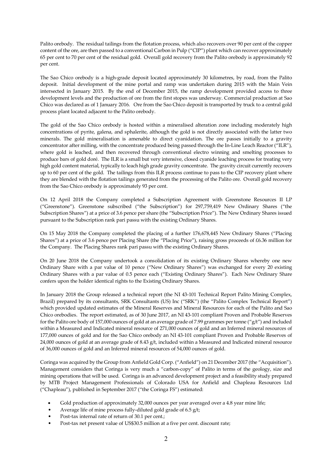Palito orebody. The residual tailings from the flotation process, which also recovers over 90 per cent of the copper content of the ore, are then passed to a conventional Carbon in Pulp ("CIP") plant which can recover approximately 65 per cent to 70 per cent of the residual gold. Overall gold recovery from the Palito orebody is approximately 92 per cent.

The Sao Chico orebody is a high-grade deposit located approximately 30 kilometres, by road, from the Palito deposit. Initial development of the mine portal and ramp was undertaken during 2015 with the Main Vein intersected in January 2015. By the end of December 2015, the ramp development provided access to three development levels and the production of ore from the first stopes was underway. Commercial production at Sao Chico was declared as of 1 January 2016. Ore from the Sao Chico deposit is transported by truck to a central gold process plant located adjacent to the Palito orebody.

The gold of the Sao Chico orebody is hosted within a mineralised alteration zone including moderately high concentrations of pyrite, galena, and sphalerite, although the gold is not directly associated with the latter two minerals. The gold mineralisation is amenable to direct cyanidation. The ore passes initially to a gravity concentrator after milling, with the concentrate produced being passed through the In-Line Leach Reactor ("ILR"), where gold is leached, and then recovered through conventional electro winning and smelting processes to produce bars of gold doré. The ILR is a small but very intensive, closed cyanide leaching process for treating very high gold content material, typically to leach high grade gravity concentrate. The gravity circuit currently recovers up to 60 per cent of the gold. The tailings from this ILR process continue to pass to the CIP recovery plant where they are blended with the flotation tailings generated from the processing of the Palito ore. Overall gold recovery from the Sao Chico orebody is approximately 93 per cent.

On 12 April 2018 the Company completed a Subscription Agreement with Greenstone Resources II LP ("Greenstone"). Greenstone subscribed ("the Subscription") for 297,759,419 New Ordinary Shares ("the Subscription Shares") at a price of 3.6 pence per share (the "Subscription Price"). The New Ordinary Shares issued pursuant to the Subscription rank pari passu with the existing Ordinary Shares.

On 15 May 2018 the Company completed the placing of a further 176,678,445 New Ordinary Shares ("Placing Shares") at a price of 3.6 pence per Placing Share (the "Placing Price"), raising gross proceeds of £6.36 million for the Company. The Placing Shares rank pari passu with the existing Ordinary Shares.

On 20 June 2018 the Company undertook a consolidation of its existing Ordinary Shares whereby one new Ordinary Share with a par value of 10 pence ("New Ordinary Shares") was exchanged for every 20 existing Ordinary Shares with a par value of 0.5 pence each ("Existing Ordinary Shares"). Each New Ordinary Share confers upon the holder identical rights to the Existing Ordinary Shares.

In January 2018 the Group released a technical report (the NI 43-101 Technical Report Palito Mining Complex, Brazil) prepared by its consultants, SRK Consultants (US) Inc ("SRK") (the "Palito Complex Technical Report") which provided updated estimates of the Mineral Reserves and Mineral Resources for each of the Palito and Sao Chico orebodies. The report estimated, as of 30 June 2017, an NI 43-101 compliant Proven and Probable Reserves for the Palito ore body of 157,000 ounces of gold at an average grade of 7.99 grammes per tonne ("g/t") and included within a Measured and Indicated mineral resource of 271,000 ounces of gold and an Inferred mineral resources of 177,000 ounces of gold and for the Sao Chico orebody an NI 43-101 compliant Proven and Probable Reserves of 24,000 ounces of gold at an average grade of 8.43  $g/t$ , included within a Measured and Indicated mineral resource of 36,000 ounces of gold and an Inferred mineral resources of 54,000 ounces of gold.

Coringa was acquired by the Group from Anfield Gold Corp. ("Anfield") on 21 December 2017 (the "Acquisition"). Management considers that Coringa is very much a "carbon-copy" of Palito in terms of the geology, size and mining operations that will be used. Coringa is an advanced development project and a feasibility study prepared by MTB Project Management Professionals of Colorado USA for Anfield and Chapleau Resources Ltd ("Chapleau"), published in September 2017 ("the Coringa FS") estimated:

- Gold production of approximately 32,000 ounces per year averaged over a 4.8 year mine life;
- Average life of mine process fully-diluted gold grade of 6.5 g/t;
- Post-tax internal rate of return of 30.1 per cent.;
- Post-tax net present value of US\$30.5 million at a five per cent. discount rate;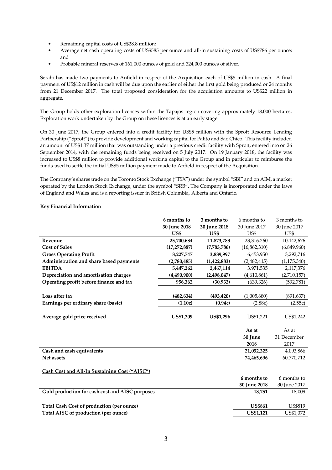- Remaining capital costs of US\$28.8 million;
- Average net cash operating costs of US\$585 per ounce and all-in sustaining costs of US\$786 per ounce; and
- Probable mineral reserves of 161,000 ounces of gold and 324,000 ounces of silver.

Serabi has made two payments to Anfield in respect of the Acquisition each of US\$5 million in cash. A final payment of US\$12 million in cash will be due upon the earlier of either the first gold being produced or 24 months from 21 December 2017. The total proposed consideration for the acquisition amounts to US\$22 million in aggregate.

The Group holds other exploration licences within the Tapajos region covering approximately 18,000 hectares. Exploration work undertaken by the Group on these licences is at an early stage.

On 30 June 2017, the Group entered into a credit facility for US\$5 million with the Sprott Resource Lending Partnership ("Sprott") to provide development and working capital for Palito and Sao Chico. This facility included an amount of US\$1.37 million that was outstanding under a previous credit facility with Sprott, entered into on 26 September 2014, with the remaining funds being received on 5 July 2017. On 19 January 2018, the facility was increased to US\$8 million to provide additional working capital to the Group and in particular to reimburse the funds used to settle the initial US\$5 million payment made to Anfield in respect of the Acquisition.

The Company's shares trade on the Toronto Stock Exchange ("TSX") under the symbol "SBI" and on AIM, a market operated by the London Stock Exchange, under the symbol "SRB". The Company is incorporated under the laws of England and Wales and is a reporting issuer in British Columbia, Alberta and Ontario.

# **Key Financial Information**

|                                                  | 6 months to      | 3 months to      | 6 months to    | 3 months to    |
|--------------------------------------------------|------------------|------------------|----------------|----------------|
|                                                  | 30 June 2018     | 30 June 2018     | 30 June 2017   | 30 June 2017   |
|                                                  | US\$             | US\$             | US\$           | US\$           |
| Revenue                                          | 25,700,634       | 11,873,783       | 23,316,260     | 10,142,676     |
| <b>Cost of Sales</b>                             | (17, 272, 887)   | (7,783,786)      | (16, 862, 310) | (6,849,960)    |
| <b>Gross Operating Profit</b>                    | 8,227,747        | 3,889,997        | 6,453,950      | 3,292,716      |
| Administration and share based payments          | (2,780,485)      | (1,422,883)      | (2,482,415)    | (1, 175, 340)  |
| <b>EBITDA</b>                                    | 5,447,262        | 2,467,114        | 3,971,535      | 2,117,376      |
| Depreciation and amortisation charges            | (4,490,900)      | (2,498,047)      | (4,610,861)    | (2,710,157)    |
| Operating profit before finance and tax          | 956,362          | (30, 933)        | (639, 326)     | (592, 781)     |
|                                                  |                  |                  |                |                |
| Loss after tax                                   | (482, 634)       | (493, 420)       | (1,005,680)    | (891, 637)     |
| Earnings per ordinary share (basic)              | (1.10c)          | (0.94c)          | (2.88c)        | (2.55c)        |
|                                                  |                  |                  |                |                |
| Average gold price received                      | <b>US\$1,309</b> | <b>US\$1,296</b> | US\$1,221      | US\$1,242      |
|                                                  |                  |                  |                |                |
|                                                  |                  |                  | As at          | As at          |
|                                                  |                  |                  | 30 June        | 31 December    |
|                                                  |                  |                  | 2018           | 2017           |
| Cash and cash equivalents                        |                  |                  | 21,052,325     | 4,093,866      |
| Net assets                                       |                  |                  | 74,465,696     | 60,770,712     |
|                                                  |                  |                  |                |                |
| Cash Cost and All-In Sustaining Cost ("AISC")    |                  |                  |                |                |
|                                                  |                  |                  | 6 months to    | 6 months to    |
|                                                  |                  |                  | 30 June 2018   | 30 June 2017   |
| Gold production for cash cost and AISC purposes  |                  |                  | 18,751         | 18,009         |
|                                                  |                  |                  |                |                |
| <b>Total Cash Cost of production (per ounce)</b> |                  |                  | <b>US\$861</b> | <b>US\$819</b> |
|                                                  |                  |                  |                |                |
| Total AISC of production (per ounce)             |                  |                  | US\$1,121      | US\$1,072      |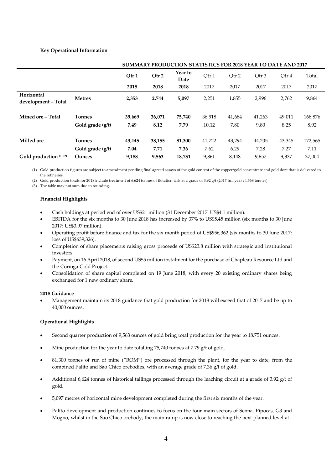# **Key Operational Information**

|                                   |                  | SUMMARY PRODUCTION STATISTICS FOR 2018 YEAR TO DATE AND 2017 |        |                 |        |        |        |        |         |
|-----------------------------------|------------------|--------------------------------------------------------------|--------|-----------------|--------|--------|--------|--------|---------|
|                                   |                  | Qtr1                                                         | Qtr 2  | Year to<br>Date | Qtr 1  | Qtr 2  | Qtr 3  | Qtr 4  | Total   |
|                                   |                  | 2018                                                         | 2018   | 2018            | 2017   | 2017   | 2017   | 2017   | 2017    |
| Horizontal<br>development - Total | <b>Metres</b>    | 2,353                                                        | 2,744  | 5,097           | 2,251  | 1,855  | 2,996  | 2,762  | 9,864   |
| Mined ore - Total                 | <b>Tonnes</b>    | 39,669                                                       | 36,071 | 75,740          | 36,918 | 41,684 | 41,263 | 49,011 | 168,876 |
|                                   | Gold grade (g/t) | 7.49                                                         | 8.12   | 7.79            | 10.12  | 7.80   | 9.80   | 8.25   | 8.92    |
| <b>Milled</b> ore                 | <b>Tonnes</b>    | 43,145                                                       | 38,155 | 81,300          | 41,722 | 43,294 | 44,205 | 43,345 | 172,565 |
|                                   | Gold grade (g/t) | 7.04                                                         | 7.71   | 7.36            | 7.62   | 6.29   | 7.28   | 7.27   | 7.11    |
| Gold production (1) (2)           | Ounces           | 9,188                                                        | 9,563  | 18,751          | 9,861  | 8,148  | 9,657  | 9,337  | 37,004  |

(1) Gold production figures are subject to amendment pending final agreed assays of the gold content of the copper/gold concentrate and gold doré that is delivered to

the refineries. (2) Gold production totals for 2018 include treatment of 6,624 tonnes of flotation tails at a grade of 3.92 g/t (2017 full year : 4,568 tonnes)

(3) The table may not sum due to rounding.

# **Financial Highlights**

- Cash holdings at period end of over US\$21 million (31 December 2017: US\$4.1 million).
- EBITDA for the six months to 30 June 2018 has increased by 37% to US\$5.45 million (six months to 30 June 2017: US\$3.97 million).
- Operating profit before finance and tax for the six month period of US\$956,362 (six months to 30 June 2017: loss of US\$639,326).
- Completion of share placements raising gross proceeds of US\$23.8 million with strategic and institutional investors.
- Payment, on 16 April 2018, of second US\$5 million instalment for the purchase of Chapleau Resource Ltd and the Coringa Gold Project.
- Consolidation of share capital completed on 19 June 2018, with every 20 existing ordinary shares being exchanged for 1 new ordinary share.

#### **2018 Guidance**

 Management maintain its 2018 guidance that gold production for 2018 will exceed that of 2017 and be up to 40,000 ounces.

# **Operational Highlights**

- Second quarter production of 9,563 ounces of gold bring total production for the year to 18,751 ounces.
- Mine production for the year to date totalling 75,740 tonnes at 7.79 g/t of gold.
- 81,300 tonnes of run of mine ("ROM") ore processed through the plant, for the year to date, from the combined Palito and Sao Chico orebodies, with an average grade of 7.36 g/t of gold.
- Additional 6,624 tonnes of historical tailings processed through the leaching circuit at a grade of 3.92 g/t of gold.
- 5,097 metres of horizontal mine development completed during the first six months of the year.
- Palito development and production continues to focus on the four main sectors of Senna, Pipocas, G3 and Mogno, whilst in the Sao Chico orebody, the main ramp is now close to reaching the next planned level at -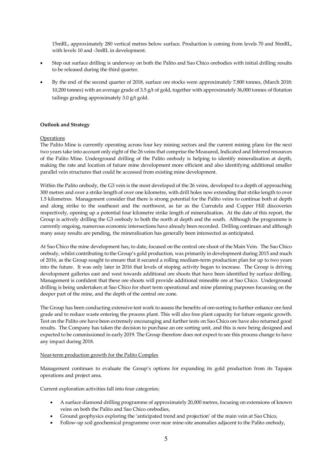15mRL, approximately 280 vertical metres below surface. Production is coming from levels 70 and 56mRL, with levels 10 and -3mRL in development.

- Step out surface drilling is underway on both the Palito and Sao Chico orebodies with initial drilling results to be released during the third quarter.
- By the end of the second quarter of 2018, surface ore stocks were approximately 7,800 tonnes, (March 2018: 10,200 tonnes) with an average grade of 3.5 g/t of gold, together with approximately 36,000 tonnes of flotation tailings grading approximately 3.0 g/t gold.

# **Outlook and Strategy**

## **Operations**

The Palito Mine is currently operating across four key mining sectors and the current mining plans for the next two years take into account only eight of the 26 veins that comprise the Measured, Indicated and Inferred resources of the Palito Mine. Underground drilling of the Palito orebody is helping to identify mineralisation at depth, making the rate and location of future mine development more efficient and also identifying additional smaller parallel vein structures that could be accessed from existing mine development.

Within the Palito orebody, the G3 vein is the most developed of the 26 veins, developed to a depth of approaching 300 metres and over a strike length of over one kilometre, with drill holes now extending that strike length to over 1.5 kilometres. Management consider that there is strong potential for the Palito veins to continue both at depth and along strike to the southeast and the northwest, as far as the Currutela and Copper Hill discoveries respectively, opening up a potential four kilometre strike length of mineralisation. At the date of this report, the Group is actively drilling the G3 orebody to both the north at depth and the south. Although the programme is currently ongoing, numerous economic intersections have already been recorded. Drilling continues and although many assay results are pending, the mineralisation has generally been intersected as anticipated.

At Sao Chico the mine development has, to date, focused on the central ore shoot of the Main Vein. The Sao Chico orebody, whilst contributing to the Group's gold production, was primarily in development during 2015 and much of 2016, as the Group sought to ensure that it secured a rolling medium-term production plan for up to two years into the future. It was only later in 2016 that levels of stoping activity began to increase. The Group is driving development galleries east and west towards additional ore shoots that have been identified by surface drilling. Management is confident that these ore shoots will provide additional mineable ore at Sao Chico. Underground drilling is being undertaken at Sao Chico for short term operational and mine planning purposes focussing on the deeper part of the mine, and the depth of the central ore zone.

The Group has been conducting extensive test work to assess the benefits of ore-sorting to further enhance ore feed grade and to reduce waste entering the process plant. This will also free plant capacity for future organic growth. Test on the Palito ore have been extremely encouraging and further tests on Sao Chico ore have also returned good results. The Company has taken the decision to purchase an ore sorting unit, and this is now being designed and expected to be commissioned in early 2019. The Group therefore does not expect to see this process change to have any impact during 2018.

#### Near-term production growth for the Palito Complex

Management continues to evaluate the Group's options for expanding its gold production from its Tapajos operations and project area.

Current exploration activities fall into four categories;

- A surface diamond drilling programme of approximately 20,000 metres, focusing on extensions of known veins on both the Palito and Sao Chico orebodies,
- Ground geophysics exploring the 'anticipated trend and projection' of the main vein at Sao Chico,
- Follow-up soil geochemical programme over near mine-site anomalies adjacent to the Palito orebody,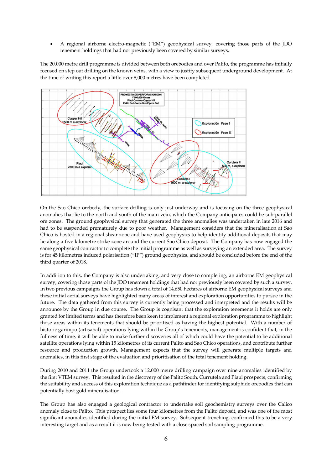A regional airborne electro-magnetic ("EM") geophysical survey, covering those parts of the JDO tenement holdings that had not previously been covered by similar surveys.

The 20,000 metre drill programme is divided between both orebodies and over Palito, the programme has initially focused on step out drilling on the known veins, with a view to justify subsequent underground development. At the time of writing this report a little over 8,000 metres have been completed.



On the Sao Chico orebody, the surface drilling is only just underway and is focusing on the three geophysical anomalies that lie to the north and south of the main vein, which the Company anticipates could be sub-parallel ore zones. The ground geophysical survey that generated the three anomalies was undertaken in late 2016 and had to be suspended prematurely due to poor weather. Management considers that the mineralisation at Sao Chico is hosted in a regional shear zone and have used geophysics to help identify additional deposits that may lie along a five kilometre strike zone around the current Sao Chico deposit. The Company has now engaged the same geophysical contractor to complete the initial programme as well as surveying an extended area. The survey is for 45 kilometres induced polarisation ("IP") ground geophysics, and should be concluded before the end of the third quarter of 2018.

In addition to this, the Company is also undertaking, and very close to completing, an airborne EM geophysical survey, covering those parts of the JDO tenement holdings that had not previously been covered by such a survey. In two previous campaigns the Group has flown a total of 14,650 hectares of airborne EM geophysical surveys and these initial aerial surveys have highlighted many areas of interest and exploration opportunities to pursue in the future. The data gathered from this survey is currently being processed and interpreted and the results will be announce by the Group in due course. The Group is cognisant that the exploration tenements it holds are only granted for limited terms and has therefore been keen to implement a regional exploration programme to highlight those areas within its tenements that should be prioritised as having the highest potential. With a number of historic garimpo (artisanal) operations lying within the Group's tenements, management is confident that, in the fullness of time, it will be able to make further discoveries all of which could have the potential to be additional satellite operations lying within 15 kilometres of its current Palito and Sao Chico operations, and contribute further resource and production growth. Management expects that the survey will generate multiple targets and anomalies, in this first stage of the evaluation and prioritisation of the total tenement holding.

During 2010 and 2011 the Group undertook a 12,000 metre drilling campaign over nine anomalies identified by the first VTEM survey. This resulted in the discovery of the Palito South, Currutela and Piaui prospects, confirming the suitability and success of this exploration technique as a pathfinder for identifying sulphide orebodies that can potentially host gold mineralisation.

The Group has also engaged a geological contractor to undertake soil geochemistry surveys over the Calico anomaly close to Palito. This prospect lies some four kilometres from the Palito deposit, and was one of the most significant anomalies identified during the initial EM survey. Subsequent trenching, confirmed this to be a very interesting target and as a result it is now being tested with a close spaced soil sampling programme.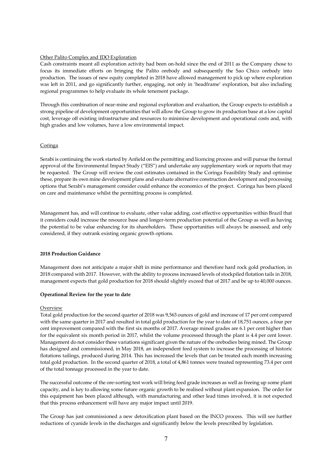## Other Palito Complex and JDO Exploration

Cash constraints meant all exploration activity had been on-hold since the end of 2011 as the Company chose to focus its immediate efforts on bringing the Palito orebody and subsequently the Sao Chico orebody into production. The issues of new equity completed in 2018 have allowed management to pick up where exploration was left in 2011, and go significantly further, engaging, not only in 'headframe' exploration, but also including regional programmes to help evaluate its whole tenement package.

Through this combination of near-mine and regional exploration and evaluation, the Group expects to establish a strong pipeline of development opportunities that will allow the Group to grow its production base at a low capital cost, leverage off existing infrastructure and resources to minimise development and operational costs and, with high grades and low volumes, have a low environmental impact.

## Coringa

Serabi is continuing the work started by Anfield on the permitting and licencing process and will pursue the formal approval of the Environmental Impact Study ("EIS") and undertake any supplementary work or reports that may be requested. The Group will review the cost estimates contained in the Coringa Feasibility Study and optimise these, prepare its own mine development plans and evaluate alternative construction development and processing options that Serabi's management consider could enhance the economics of the project. Coringa has been placed on care and maintenance whilst the permitting process is completed.

Management has, and will continue to evaluate, other value adding, cost effective opportunities within Brazil that it considers could increase the resource base and longer-term production potential of the Group as well as having the potential to be value enhancing for its shareholders. These opportunities will always be assessed, and only considered, if they outrank existing organic growth options.

## **2018 Production Guidance**

Management does not anticipate a major shift in mine performance and therefore hard rock gold production, in 2018 compared with 2017. However, with the ability to process increased levels of stockpiled flotation tails in 2018, management expects that gold production for 2018 should slightly exceed that of 2017 and be up to 40,000 ounces.

#### **Operational Review for the year to date**

#### **Overview**

Total gold production for the second quarter of 2018 was 9,563 ounces of gold and increase of 17 per cent compared with the same quarter in 2017 and resulted in total gold production for the year to date of 18,751 ounces, a four per cent improvement compared with the first six months of 2017. Average mined grades are 6.1 per cent higher than for the equivalent six month period in 2017, whilst the volume processed through the plant is 4.4 per cent lower. Management do not consider these variations significant given the nature of the orebodies being mined. The Group has designed and commissioned, in May 2018, an independent feed system to increase the processing of historic flotations tailings, produced during 2014. This has increased the levels that can be treated each month increasing total gold production. In the second quarter of 2018, a total of 4,861 tonnes were treated representing 73.4 per cent of the total tonnage processed in the year to date.

The successful outcome of the ore-sorting test work will bring feed grade increases as well as freeing up some plant capacity, and is key to allowing some future organic growth to be realised without plant expansion. The order for this equipment has been placed although, with manufacturing and other lead times involved, it is not expected that this process enhancement will have any major impact until 2019.

The Group has just commissioned a new detoxification plant based on the INCO process. This will see further reductions of cyanide levels in the discharges and significantly below the levels prescribed by legislation.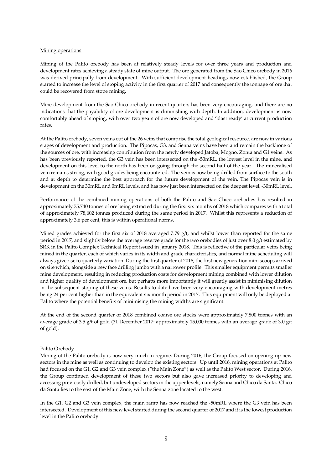#### Mining operations

Mining of the Palito orebody has been at relatively steady levels for over three years and production and development rates achieving a steady state of mine output. The ore generated from the Sao Chico orebody in 2016 was derived principally from development. With sufficient development headings now established, the Group started to increase the level of stoping activity in the first quarter of 2017 and consequently the tonnage of ore that could be recovered from stope mining.

Mine development from the Sao Chico orebody in recent quarters has been very encouraging, and there are no indications that the payability of ore development is diminishing with depth. In addition, development is now comfortably ahead of stoping, with over two years of ore now developed and 'blast ready' at current production rates.

At the Palito orebody, seven veins out of the 26 veins that comprise the total geological resource, are now in various stages of development and production. The Pipocas, G3, and Senna veins have been and remain the backbone of the sources of ore, with increasing contribution from the newly developed Jatoba, Mogno, Zonta and G1 veins. As has been previously reported, the G3 vein has been intersected on the -50mRL, the lowest level in the mine, and development on this level to the north has been on-going through the second half of the year. The mineralised vein remains strong, with good grades being encountered. The vein is now being drilled from surface to the south and at depth to determine the best approach for the future development of the vein. The Pipocas vein is in development on the 30mRL and 0mRL levels, and has now just been intersected on the deepest level, -30mRL level.

Performance of the combined mining operations of both the Palito and Sao Chico orebodies has resulted in approximately 75,740 tonnes of ore being extracted during the first six months of 2018 which compares with a total of approximately 78,602 tonnes produced during the same period in 2017. Whilst this represents a reduction of approximately 3.6 per cent, this is within operational norms.

Mined grades achieved for the first six of 2018 averaged 7.79 g/t, and whilst lower than reported for the same period in 2017, and slightly below the average reserve grade for the two orebodies of just over 8.0 g/t estimated by SRK in the Palito Complex Technical Report issued in January 2018. This is reflective of the particular veins being mined in the quarter, each of which varies in its width and grade characteristics, and normal mine scheduling will always give rise to quarterly variation. During the first quarter of 2018, the first new generation mini scoops arrived on site which, alongside a new face drilling jumbo with a narrower profile. This smaller equipment permits smaller mine development, resulting in reducing production costs for development mining combined with lower dilution and higher quality of development ore, but perhaps more importantly it will greatly assist in minimising dilution in the subsequent stoping of these veins. Results to date have been very encouraging with development metres being 24 per cent higher than in the equivalent six month period in 2017. This equipment will only be deployed at Palito where the potential benefits of minimising the mining widths are significant.

At the end of the second quarter of 2018 combined coarse ore stocks were approximately 7,800 tonnes with an average grade of 3.5 g/t of gold (31 December 2017: approximately 15,000 tonnes with an average grade of 3.0 g/t of gold).

#### Palito Orebody

Mining of the Palito orebody is now very much in regime. During 2016, the Group focused on opening up new sectors in the mine as well as continuing to develop the existing sectors. Up until 2016, mining operations at Palito had focused on the G1, G2 and G3 vein complex ("the Main Zone") as well as the Palito West sector. During 2016, the Group continued development of these two sectors but also gave increased priority to developing and accessing previously drilled, but undeveloped sectors in the upper levels, namely Senna and Chico da Santa. Chico da Santa lies to the east of the Main Zone, with the Senna zone located to the west.

In the G1, G2 and G3 vein complex, the main ramp has now reached the -50mRL where the G3 vein has been intersected. Development of this new level started during the second quarter of 2017 and it is the lowest production level in the Palito orebody.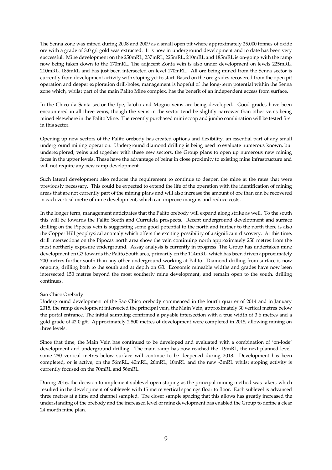The Senna zone was mined during 2008 and 2009 as a small open pit where approximately 25,000 tonnes of oxide ore with a grade of 3.0 g/t gold was extracted. It is now in underground development and to date has been very successful. Mine development on the 250mRL, 237mRL, 225mRL, 210mRL and 185mRL is on-going with the ramp now being taken down to the 170mRL. The adjacent Zonta vein is also under development on levels 225mRL, 210mRL, 185mRL and has just been intersected on level 170mRL. All ore being mined from the Senna sector is currently from development activity with stoping yet to start. Based on the ore grades recovered from the open pit operation and deeper exploration drill-holes, management is hopeful of the long-term potential within the Senna zone which, whilst part of the main Palito Mine complex, has the benefit of an independent access from surface.

In the Chico da Santa sector the Ipe, Jatoba and Mogno veins are being developed. Good grades have been encountered in all three veins, though the veins in the sector tend be slightly narrower than other veins being mined elsewhere in the Palito Mine. The recently purchased mini scoop and jumbo combination will be tested first in this sector.

Opening up new sectors of the Palito orebody has created options and flexibility, an essential part of any small underground mining operation. Underground diamond drilling is being used to evaluate numerous known, but underexplored, veins and together with these new sectors, the Group plans to open up numerous new mining faces in the upper levels. These have the advantage of being in close proximity to existing mine infrastructure and will not require any new ramp development.

Such lateral development also reduces the requirement to continue to deepen the mine at the rates that were previously necessary. This could be expected to extend the life of the operation with the identification of mining areas that are not currently part of the mining plans and will also increase the amount of ore than can be recovered in each vertical metre of mine development, which can improve margins and reduce costs.

In the longer term, management anticipates that the Palito orebody will expand along strike as well. To the south this will be towards the Palito South and Currutela prospects. Recent underground development and surface drilling on the Pipocas vein is suggesting some good potential to the north and further to the north there is also the Copper Hill geophysical anomaly which offers the exciting possibility of a significant discovery. At this time, drill intersections on the Pipocas north area show the vein continuing north approximately 250 metres from the most northerly exposure underground. Assay analysis is currently in progress. The Group has undertaken mine development on G3 towards the Palito South area, primarily on the 114mRL, which has been driven approximately 700 metres further south than any other underground working at Palito. Diamond drilling from surface is now ongoing, drilling both to the south and at depth on G3. Economic mineable widths and grades have now been intersected 150 metres beyond the most southerly mine development, and remain open to the south, drilling continues.

# Sao Chico Orebody

Underground development of the Sao Chico orebody commenced in the fourth quarter of 2014 and in January 2015, the ramp development intersected the principal vein, the Main Vein, approximately 30 vertical metres below the portal entrance. The initial sampling confirmed a payable intersection with a true width of 3.6 metres and a gold grade of 42.0 g/t. Approximately 2,800 metres of development were completed in 2015, allowing mining on three levels.

Since that time, the Main Vein has continued to be developed and evaluated with a combination of 'on-lode' development and underground drilling. The main ramp has now reached the -19mRL, the next planned level, some 280 vertical metres below surface will continue to be deepened during 2018. Development has been completed, or is active, on the 56mRL, 40mRL, 26mRL, 10mRL and the new -3mRL whilst stoping activity is currently focused on the 70mRL and 56mRL.

During 2016, the decision to implement sublevel open stoping as the principal mining method was taken, which resulted in the development of sublevels with 15 metre vertical spacings floor to floor. Each sublevel is advanced three metres at a time and channel sampled. The closer sample spacing that this allows has greatly increased the understanding of the orebody and the increased level of mine development has enabled the Group to define a clear 24 month mine plan.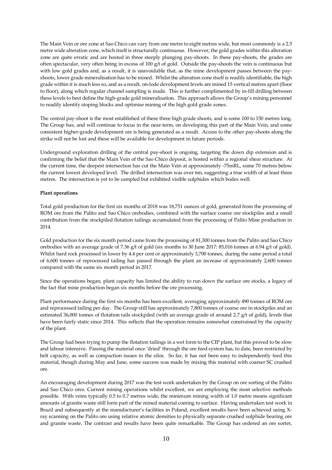The Main Vein or ore zone at Sao Chico can vary from one metre to eight metres wide, but most commonly is a 2.5 metre wide alteration zone, which itself is structurally continuous. However, the gold grades within this alteration zone are quite erratic and are hosted in three steeply plunging pay-shoots. In these pay-shoots, the grades are often spectacular, very often being in excess of 100 g/t of gold. Outside the pay-shoots the vein is continuous but with low gold grades and, as a result, it is unavoidable that, as the mine development passes between the payshoots, lower grade mineralisation has to be mined. Whilst the alteration zone itself is readily identifiable, the high grade within it is much less so, and as a result, on-lode development levels are mined 15 vertical metres apart (floor to floor), along which regular channel sampling is made. This is further complimented by in-fill drilling between these levels to best define the high-grade gold mineralisation. This approach allows the Group's mining personnel to readily identify stoping blocks and optimise mining of the high gold grade zones.

The central pay-shoot is the most established of these three high grade shoots, and is some 100 to 150 metres long. The Group has, and will continue to focus in the near-term, on developing this part of the Main Vein, and some consistent higher-grade development ore is being generated as a result. Access to the other pay-shoots along the strike will not be lost and these will be available for development in future periods.

Underground exploration drilling of the central pay-shoot is ongoing, targeting the down dip extension and is confirming the belief that the Main Vein of the Sao Chico deposit, is hosted within a regional shear structure. At the current time, the deepest intersection has cut the Main Vein at approximately -75mRL, some 70 metres below the current lowest developed level. The drilled intersection was over 6m, suggesting a true width of at least three metres. The intersection is yet to be sampled but exhibited visible sulphides which bodes well.

## **Plant operations**

Total gold production for the first six months of 2018 was 18,751 ounces of gold, generated from the processing of ROM ore from the Palito and Sao Chico orebodies, combined with the surface coarse ore stockpiles and a small contribution from the stockpiled flotation tailings accumulated from the processing of Palito Mine production in 2014.

Gold production for the six month period came from the processing of 81,300 tonnes from the Palito and Sao Chico orebodies with an average grade of 7.36 g/t of gold (six months to 30 June 2017: 85,016 tonnes at 6.94 g/t of gold). Whilst hard rock processed in lower by 4.4 per cent or approximately 3,700 tonnes, during the same period a total of 6,600 tonnes of reprocessed tailing has passed through the plant an increase of approximately 2,600 tonnes compared with the same six month period in 2017.

Since the operations began, plant capacity has limited the ability to run down the surface ore stocks, a legacy of the fact that mine production began six months before the ore processing.

Plant performance during the first six months has been excellent, averaging approximately 490 tonnes of ROM ore and reprocessed tailing per day. The Group still has approximately 7,800 tonnes of coarse ore in stockpiles and an estimated 36,000 tonnes of flotation tails stockpiled (with an average grade of around 2.7 g/t of gold), levels that have been fairly static since 2014. This reflects that the operation remains somewhat constrained by the capacity of the plant.

The Group had been trying to pump the flotation tailings in a wet form to the CIP plant, but this proved to be slow and labour intensive. Passing the material once 'dried' through the ore feed system has, to date, been restricted by belt capacity, as well as compaction issues in the silos. So far, it has not been easy to independently feed this material, though during May and June, some success was made by mixing this material with coarser SC crushed ore.

An encouraging development during 2017 was the test work undertaken by the Group on ore sorting of the Palito and Sao Chico ores. Current mining operations whilst excellent, we are employing the most selective methods possible. With veins typically 0.5 to 0.7 metres wide, the minimum mining width of 1.0 metre means significant amounts of granite waste still form part of the mined material coming to surface. Having undertaken test work in Brazil and subsequently at the manufacturer's facilities in Poland, excellent results have been achieved using Xray scanning on the Palito ore using relative atomic densities to physically separate crushed sulphide bearing ore and granite waste. The contrast and results have been quite remarkable. The Group has ordered an ore sorter,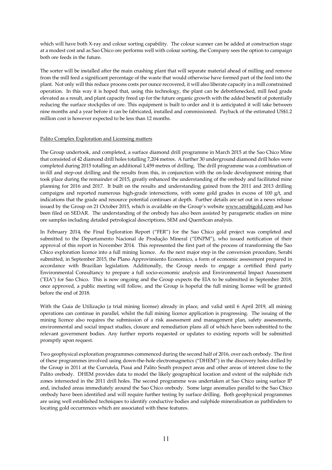which will have both X-ray and colour sorting capability. The colour scanner can be added at construction stage at a modest cost and as Sao Chico ore performs well with colour sorting, the Company sees the option to campaign both ore feeds in the future.

The sorter will be installed after the main crushing plant that will separate material ahead of milling and remove from the mill feed a significant percentage of the waste that would otherwise have formed part of the feed into the plant. Not only will this reduce process costs per ounce recovered, it will also liberate capacity in a mill constrained operation. In this way it is hoped that, using this technology, the plant can be debottlenecked, mill feed grade elevated as a result, and plant capacity freed up for the future organic growth with the added benefit of potentially reducing the surface stockpiles of ore. This equipment is built to order and it is anticipated it will take between nine months and a year before it can be fabricated, installed and commissioned. Payback of the estimated US\$1.2 million cost is however expected to be less than 12 months.

# Palito Complex Exploration and Licensing matters

The Group undertook, and completed, a surface diamond drill programme in March 2015 at the Sao Chico Mine that consisted of 42 diamond drill holes totalling 7,204 metres. A further 30 underground diamond drill holes were completed during 2015 totalling an additional 1,459 metres of drilling. The drill programme was a combination of in-fill and step-out drilling and the results from this, in conjunction with the on-lode development mining that took place during the remainder of 2015, greatly enhanced the understanding of the orebody and facilitated mine planning for 2016 and 2017. It built on the results and understanding gained from the 2011 and 2013 drilling campaigns and reported numerous high-grade intersections, with some gold grades in excess of 100 g/t, and indications that the grade and resource potential continues at depth. Further details are set out in a news release issued by the Group on 21 October 2015, which is available on the Group's website www.serabigold.com and has been filed on SEDAR. The understanding of the orebody has also been assisted by paragenetic studies on mine ore samples including detailed petrological descriptions, SEM and QuemScan analysis.

In February 2014, the Final Exploration Report ("FER") for the Sao Chico gold project was completed and submitted to the Departamento Nacional de Produção Mineral ("DNPM"), who issued notification of their approval of this report in November 2014. This represented the first part of the process of transforming the Sao Chico exploration licence into a full mining licence. As the next major step in the conversion procedure, Serabi submitted, in September 2015, the Plano Approvimiento Economico, a form of economic assessment prepared in accordance with Brazilian legislation. Additionally, the Group needs to engage a certified third party Environmental Consultancy to prepare a full socio-economic analysis and Environmental Impact Assessment ("EIA") for Sao Chico. This is now ongoing and the Group expects the EIA to be submitted in September 2018, once approved, a public meeting will follow, and the Group is hopeful the full mining license will be granted before the end of 2018.

With the Guia de Utilização (a trial mining license) already in place, and valid until 6 April 2019, all mining operations can continue in parallel, whilst the full mining licence application is progressing. The issuing of the mining licence also requires the submission of a risk assessment and management plan, safety assessments, environmental and social impact studies, closure and remediation plans all of which have been submitted to the relevant government bodies. Any further reports requested or updates to existing reports will be submitted promptly upon request.

Two geophysical exploration programmes commenced during the second half of 2016, over each orebody. The first of these programmes involved using down-the-hole electromagnetics ("DHEM") in the discovery holes drilled by the Group in 2011 at the Currutela, Piaui and Palito South prospect areas and other areas of interest close to the Palito orebody. DHEM provides data to model the likely geographical location and extent of the sulphide rich zones intersected in the 2011 drill holes. The second programme was undertaken at Sao Chico using surface IP and, included areas immediately around the Sao Chico orebody. Some large anomalies parallel to the Sao Chico orebody have been identified and will require further testing by surface drilling. Both geophysical programmes are using well established techniques to identify conductive bodies and sulphide mineralisation as pathfinders to locating gold occurrences which are associated with these features.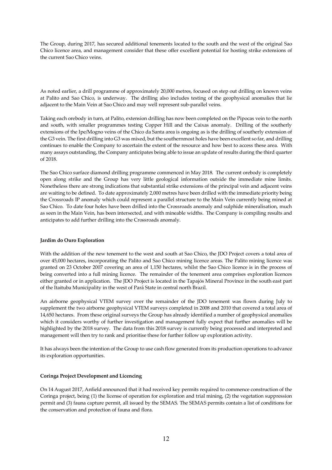The Group, during 2017, has secured additional tenements located to the south and the west of the original Sao Chico licence area, and management consider that these offer excellent potential for hosting strike extensions of the current Sao Chico veins.

As noted earlier, a drill programme of approximately 20,000 metres, focused on step out drilling on known veins at Palito and Sao Chico, is underway. The drilling also includes testing of the geophysical anomalies that lie adjacent to the Main Vein at Sao Chico and may well represent sub-parallel veins.

Taking each orebody in turn, at Palito, extension drilling has now been completed on the Pipocas vein to the north and south, with smaller programmes testing Copper Hill and the Caixas anomaly. Drilling of the southerly extensions of the Ipe/Mogno veins of the Chico da Santa area is ongoing as is the drilling of southerly extension of the G3 vein. The first drilling into G3 was mixed, but the southernmost holes have been excellent so far, and drilling continues to enable the Company to ascertain the extent of the resource and how best to access these area. With many assays outstanding, the Company anticipates being able to issue an update of results during the third quarter of 2018.

The Sao Chico surface diamond drilling programme commenced in May 2018. The current orebody is completely open along strike and the Group has very little geological information outside the immediate mine limits. Nonetheless there are strong indications that substantial strike extensions of the principal vein and adjacent veins are waiting to be defined. To date approximately 2,000 metres have been drilled with the immediate priority being the Crossroads IP anomaly which could represent a parallel structure to the Main Vein currently being mined at Sao Chico. To date four holes have been drilled into the Crossroads anomaly and sulphide mineralisation, much as seen in the Main Vein, has been intersected, and with mineable widths. The Company is compiling results and anticipates to add further drilling into the Crossroads anomaly.

# **Jardim do Ouro Exploration**

With the addition of the new tenement to the west and south at Sao Chico, the JDO Project covers a total area of over 45,000 hectares, incorporating the Palito and Sao Chico mining licence areas. The Palito mining licence was granted on 23 October 2007 covering an area of 1,150 hectares, whilst the Sao Chico licence is in the process of being converted into a full mining licence. The remainder of the tenement area comprises exploration licences either granted or in application. The JDO Project is located in the Tapajós Mineral Province in the south east part of the Itaituba Municipality in the west of Pará State in central north Brazil.

An airborne geophysical VTEM survey over the remainder of the JDO tenement was flown during July to supplement the two airborne geophysical VTEM surveys completed in 2008 and 2010 that covered a total area of 14,650 hectares. From these original surveys the Group has already identified a number of geophysical anomalies which it considers worthy of further investigation and management fully expect that further anomalies will be highlighted by the 2018 survey. The data from this 2018 survey is currently being processed and interpreted and management will then try to rank and prioritise these for further follow up exploration activity.

It has always been the intention of the Group to use cash flow generated from its production operations to advance its exploration opportunities.

# **Coringa Project Development and Licencing**

On 14 August 2017, Anfield announced that it had received key permits required to commence construction of the Coringa project, being (1) the license of operation for exploration and trial mining, (2) the vegetation suppression permit and (3) fauna capture permit, all issued by the SEMAS. The SEMAS permits contain a list of conditions for the conservation and protection of fauna and flora.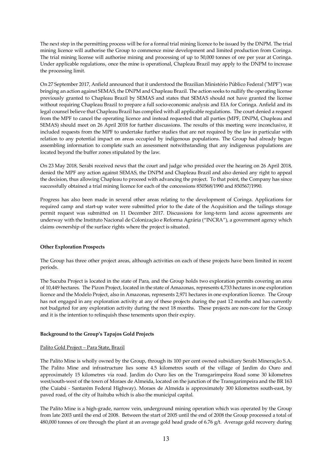The next step in the permitting process will be for a formal trial mining licence to be issued by the DNPM. The trial mining licence will authorise the Group to commence mine development and limited production from Coringa. The trial mining license will authorise mining and processing of up to 50,000 tonnes of ore per year at Coringa. Under applicable regulations, once the mine is operational, Chapleau Brazil may apply to the DNPM to increase the processing limit.

On 27 September 2017, Anfield announced that it understood the Brazilian Ministério Público Federal ("MPF") was bringing an action against SEMAS, the DNPM and Chapleau Brazil. The action seeks to nullify the operating license previously granted to Chapleau Brazil by SEMAS and states that SEMAS should not have granted the license without requiring Chapleau Brazil to prepare a full socio-economic analysis and EIA for Coringa. Anfield and its legal counsel believe that Chapleau Brazil has complied with all applicable regulations. The court denied a request from the MPF to cancel the operating licence and instead requested that all parties (MPF, DNPM, Chapleau and SEMAS) should meet on 26 April 2018 for further discussions. The results of this meeting were inconclusive, it included requests from the MPF to undertake further studies that are not required by the law in particular with relation to any potential impact on areas occupied by indigenous populations. The Group had already begun assembling information to complete such an assessment notwithstanding that any indigenous populations are located beyond the buffer zones stipulated by the law.

On 23 May 2018, Serabi received news that the court and judge who presided over the hearing on 26 April 2018, denied the MPF any action against SEMAS, the DNPM and Chapleau Brazil and also denied any right to appeal the decision, thus allowing Chapleau to proceed with advancing the project. To that point, the Company has since successfully obtained a trial mining licence for each of the concessions 850568/1990 and 850567/1990.

Progress has also been made in several other areas relating to the development of Coringa. Applications for required camp and start-up water were submitted prior to the date of the Acquisition and the tailings storage permit request was submitted on 11 December 2017. Discussions for long-term land access agreements are underway with the Instituto Nacional de Colonização e Reforma Agrária ("INCRA"), a government agency which claims ownership of the surface rights where the project is situated.

# **Other Exploration Prospects**

The Group has three other project areas, although activities on each of these projects have been limited in recent periods.

The Sucuba Project is located in the state of Para, and the Group holds two exploration permits covering an area of 10,449 hectares. The Pizon Project, located in the state of Amazonas, represents 4,733 hectares in one exploration licence and the Modelo Project, also in Amazonas, represents 2,971 hectares in one exploration licence. The Group has not engaged in any exploration activity at any of these projects during the past 12 months and has currently not budgeted for any exploration activity during the next 18 months. These projects are non-core for the Group and it is the intention to relinquish these tenements upon their expiry.

#### **Background to the Group's Tapajos Gold Projects**

#### Palito Gold Project – Para State, Brazil

The Palito Mine is wholly owned by the Group, through its 100 per cent owned subsidiary Serabi Mineração S.A. The Palito Mine and infrastructure lies some 4.5 kilometres south of the village of Jardim do Ouro and approximately 15 kilometres via road. Jardim do Ouro lies on the Transgarimpeira Road some 30 kilometres west/south-west of the town of Moraes de Almeida, located on the junction of the Transgarimpeira and the BR 163 (the Cuiabá - Santarém Federal Highway). Moraes de Almeida is approximately 300 kilometres south-east, by paved road, of the city of Itaituba which is also the municipal capital.

The Palito Mine is a high-grade, narrow vein, underground mining operation which was operated by the Group from late 2003 until the end of 2008. Between the start of 2005 until the end of 2008 the Group processed a total of 480,000 tonnes of ore through the plant at an average gold head grade of 6.76  $g/t$ . Average gold recovery during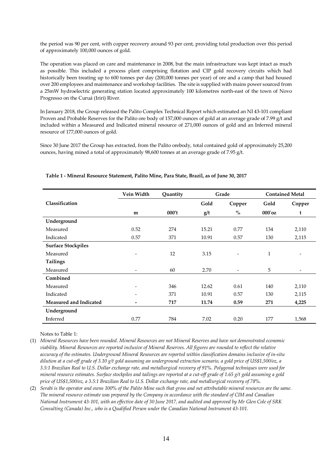the period was 90 per cent, with copper recovery around 93 per cent, providing total production over this period of approximately 100,000 ounces of gold.

The operation was placed on care and maintenance in 2008, but the main infrastructure was kept intact as much as possible. This included a process plant comprising flotation and CIP gold recovery circuits which had historically been treating up to 600 tonnes per day (200,000 tonnes per year) of ore and a camp that had housed over 200 employees and maintenance and workshop facilities. The site is supplied with mains power sourced from a 25mW hydroelectric generating station located approximately 100 kilometres north-east of the town of Novo Progresso on the Curuá (Iriri) River.

In January 2018, the Group released the Palito Complex Technical Report which estimated an NI 43-101 compliant Proven and Probable Reserves for the Palito ore body of 157,000 ounces of gold at an average grade of 7.99 g/t and included within a Measured and Indicated mineral resource of 271,000 ounces of gold and an Inferred mineral resource of 177,000 ounces of gold.

Since 30 June 2017 the Group has extracted, from the Palito orebody, total contained gold of approximately 25,200 ounces, having mined a total of approximately 98,600 tonnes at an average grade of 7.95 g/t.

|                               | Vein Width               | Quantity |       | Grade                    | <b>Contained Metal</b> |                          |
|-------------------------------|--------------------------|----------|-------|--------------------------|------------------------|--------------------------|
| Classification                |                          |          | Gold  | Copper                   | Gold                   | Copper                   |
|                               | m                        | 000't    | g/t   | $\%$                     | $000'$ oz              | t                        |
| Underground                   |                          |          |       |                          |                        |                          |
| Measured                      | 0.52                     | 274      | 15.21 | 0.77                     | 134                    | 2,110                    |
| Indicated                     | 0.57                     | 371      | 10.91 | 0.57                     | 130                    | 2,115                    |
| <b>Surface Stockpiles</b>     |                          |          |       |                          |                        |                          |
| Measured                      | $\overline{\phantom{a}}$ | 12       | 3.15  | $\overline{\phantom{a}}$ | $\mathbf{1}$           | $\overline{\phantom{0}}$ |
| <b>Tailings</b>               |                          |          |       |                          |                        |                          |
| Measured                      |                          | 60       | 2.70  | $\overline{\phantom{a}}$ | 5                      | $\overline{\phantom{0}}$ |
| Combined                      |                          |          |       |                          |                        |                          |
| Measured                      | $\overline{\phantom{a}}$ | 346      | 12.62 | 0.61                     | 140                    | 2,110                    |
| Indicated                     | $\overline{\phantom{a}}$ | 371      | 10.91 | 0.57                     | 130                    | 2,115                    |
| <b>Measured and Indicated</b> | -                        | 717      | 11.74 | 0.59                     | 271                    | 4,225                    |
| Underground                   |                          |          |       |                          |                        |                          |
| Inferred                      | 0.77                     | 784      | 7.02  | 0.20                     | 177                    | 1,568                    |

# **Table 1 - Mineral Resource Statement, Palito Mine, Para State, Brazil, as of June 30, 2017**

Notes to Table 1:

(1) *Mineral Resources have been rounded. Mineral Resources are not Mineral Reserves and have not demonstrated economic viability. Mineral Resources are reported inclusive of Mineral Reserves. All figures are rounded to reflect the relative accuracy of the estimates. Underground Mineral Resources are reported within classification domains inclusive of in-situ dilution at a cut-off grade of 3.10 g/t gold assuming an underground extraction scenario, a gold price of US\$1,500/oz, a 3.5:1 Brazilian Real to U.S. Dollar exchange rate, and metallurgical recovery of 91%. Polygonal techniques were used for mineral resource estimates. Surface stockpiles and tailings are reported at a cut-off grade of 1.65 g/t gold assuming a gold price of US\$1,500/oz, a 3.5:1 Brazilian Real to U.S. Dollar exchange rate, and metallurgical recovery of 78%.* 

(2) *Serabi is the operator and owns 100% of the Palito Mine such that gross and net attributable mineral resources are the same. The mineral resource estimate was prepared by the Company in accordance with the standard of CIM and Canadian National Instrument 43-101, with an effective date of 30 June 2017, and audited and approved by Mr Glen Cole of SRK Consulting (Canada) Inc., who is a Qualified Person under the Canadian National Instrument 43-101.*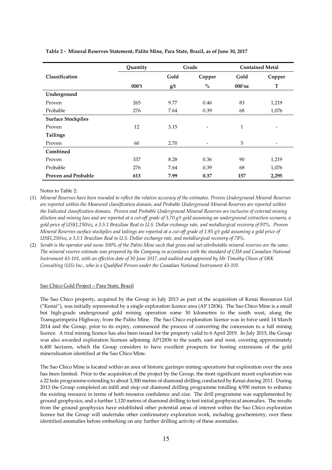|                            | Quantity |      | Grade  | <b>Contained Metal</b> |        |  |
|----------------------------|----------|------|--------|------------------------|--------|--|
| Classification             |          | Gold | Copper | Gold                   | Copper |  |
|                            | 000't    | g/t  | $\%$   | $000'$ oz              | T      |  |
| Underground                |          |      |        |                        |        |  |
| Proven                     | 265      | 9.77 | 0.46   | 83                     | 1,219  |  |
| Probable                   | 276      | 7.64 | 0.39   | 68                     | 1,076  |  |
| <b>Surface Stockpiles</b>  |          |      |        |                        |        |  |
| Proven                     | 12       | 3.15 | -      | 1                      | ٠      |  |
| Tailings                   |          |      |        |                        |        |  |
| Proven                     | 60       | 2.70 |        | 5                      | -      |  |
| Combined                   |          |      |        |                        |        |  |
| Proven                     | 337      | 8.28 | 0.36   | 90                     | 1,219  |  |
| Probable                   | 276      | 7.64 | 0.39   | 68                     | 1,076  |  |
| <b>Proven and Probable</b> | 613      | 7.99 | 0.37   | 157                    | 2,295  |  |

## **Table 2 - Mineral Reserves Statement, Palito Mine, Para State, Brazil, as of June 30, 2017**

Notes to Table 2:

- (1) *Mineral Reserves have been rounded to reflect the relative accuracy of the estimates. Proven Underground Mineral Reserves are reported within the Measured classification domain, and Probable Underground Mineral Reserves are reported within the Indicated classification domain. Proven and Probable Underground Mineral Reserves are inclusive of external mining dilution and mining loss and are reported at a cut-off grade of 3.70 g/t gold assuming an underground extraction scenario, a gold price of US\$1,250/oz, a 3.5:1 Brazilian Real to U.S. Dollar exchange rate, and metallurgical recovery of 91%. Proven Mineral Reserves surface stockpiles and tailings are reported at a cut-off grade of 1.95 g/t gold assuming a gold price of US\$1,250/oz, a 3.5:1 Brazilian Real to U.S. Dollar exchange rate, and metallurgical recovery of 78%.*
- (2) *Serabi is the operator and owns 100% of the Palito Mine such that gross and net attributable mineral reserves are the same. The mineral reserve estimate was prepared by the Company in accordance with the standard of CIM and Canadian National Instrument 43-101, with an effective date of 30 June 2017, and audited and approved by Mr Timothy Olson of SRK Consulting (US) Inc., who is a Qualified Person under the Canadian National Instrument 43-101.*

## Sao Chico Gold Project – Para State, Brazil

The Sao Chico property, acquired by the Group in July 2013 as part of the acquisition of Kenai Resources Ltd ("Kenai"), was initially represented by a single exploration licence area (AP 12836). The Sao Chico Mine is a small but high-grade underground gold mining operation some 30 kilometres to the south west, along the Transgarimpeira Highway, from the Palito Mine. The Sao Chico exploration licence was in force until 14 March 2014 and the Group, prior to its expiry, commenced the process of converting the concession to a full mining licence. A trial mining licence has also been issued for the property valid to 6 April 2019. In July 2015, the Group was also awarded exploration licences adjoining AP12836 to the south, east and west, covering approximately 6,400 hectares, which the Group considers to have excellent prospects for hosting extensions of the gold mineralisation identified at the Sao Chico Mine.

The Sao Chico Mine is located within an area of historic garimpo mining operations but exploration over the area has been limited. Prior to the acquisition of the project by the Group, the most significant recent exploration was a 22 hole programme extending to about 3,300 metres of diamond drilling conducted by Kenai during 2011. During 2013 the Group completed an infill and step out diamond drilling programme totalling 4,950 metres to enhance the existing resource in terms of both resource confidence and size. The drill programme was supplemented by ground geophysics, and a further 1,120 metres of diamond drilling to test initial geophysical anomalies. The results from the ground geophysics have established other potential areas of interest within the Sao Chico exploration licence but the Group will undertake other confirmatory exploration work, including geochemistry, over these identified anomalies before embarking on any further drilling activity of these anomalies.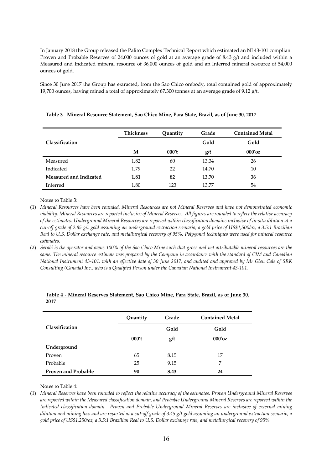In January 2018 the Group released the Palito Complex Technical Report which estimated an NI 43-101 compliant Proven and Probable Reserves of 24,000 ounces of gold at an average grade of 8.43 g/t and included within a Measured and Indicated mineral resource of 36,000 ounces of gold and an Inferred mineral resource of 54,000 ounces of gold.

Since 30 June 2017 the Group has extracted, from the Sao Chico orebody, total contained gold of approximately 19,700 ounces, having mined a total of approximately 67,300 tonnes at an average grade of 9.12 g/t.

|                               | <b>Thickness</b> | Quantity | Grade | <b>Contained Metal</b> |
|-------------------------------|------------------|----------|-------|------------------------|
| Classification                |                  |          | Gold  | Gold                   |
|                               | М                | 000't    | g/t   | $000'$ oz              |
| Measured                      | 1.82             | 60       | 13.34 | 26                     |
| Indicated                     | 1.79             | 22       | 14.70 | 10                     |
| <b>Measured and Indicated</b> | 1.81             | 82       | 13.70 | 36                     |
| <b>I</b> nferred              | 1.80             | 123      | 13.77 | 54                     |

**Table 3 - Mineral Resource Statement, Sao Chico Mine, Para State, Brazil, as of June 30, 2017** 

Notes to Table 3:

(1) *Mineral Resources have been rounded. Mineral Resources are not Mineral Reserves and have not demonstrated economic viability. Mineral Resources are reported inclusive of Mineral Reserves. All figures are rounded to reflect the relative accuracy of the estimates. Underground Mineral Resources are reported within classification domains inclusive of in-situ dilution at a cut-off grade of 2.85 g/t gold assuming an underground extraction scenario, a gold price of US\$1,500/oz, a 3.5:1 Brazilian Real to U.S. Dollar exchange rate, and metallurgical recovery of 95%. Polygonal techniques were used for mineral resource estimates.* 

(2) *Serabi is the operator and owns 100% of the Sao Chico Mine such that gross and net attributable mineral resources are the same. The mineral resource estimate was prepared by the Company in accordance with the standard of CIM and Canadian National Instrument 43-101, with an effective date of 30 June 2017, and audited and approved by Mr Glen Cole of SRK Consulting (Canada) Inc., who is a Qualified Person under the Canadian National Instrument 43-101.* 

|                            | Quantity | Grade | <b>Contained Metal</b> |
|----------------------------|----------|-------|------------------------|
| Classification             |          | Gold  | Gold                   |
|                            | 000't    | g/t   | $000'$ oz              |
| Underground                |          |       |                        |
| Proven                     | 65       | 8.15  | 17                     |
| Probable                   | 25       | 9.15  | 7                      |
| <b>Proven and Probable</b> | 90       | 8.43  | 24                     |

| Table 4 - Mineral Reserves Statement. Sao Chico Mine. Para State. Brazil. as of June 30. |  |  |  |  |  |
|------------------------------------------------------------------------------------------|--|--|--|--|--|
| 2017                                                                                     |  |  |  |  |  |

Notes to Table 4:

(1) *Mineral Reserves have been rounded to reflect the relative accuracy of the estimates. Proven Underground Mineral Reserves are reported within the Measured classification domain, and Probable Underground Mineral Reserves are reported within the Indicated classification domain. Proven and Probable Underground Mineral Reserves are inclusive of external mining dilution and mining loss and are reported at a cut-off grade of 3.45 g/t gold assuming an underground extraction scenario, a gold price of US\$1,250/oz, a 3.5:1 Brazilian Real to U.S. Dollar exchange rate, and metallurgical recovery of 95%*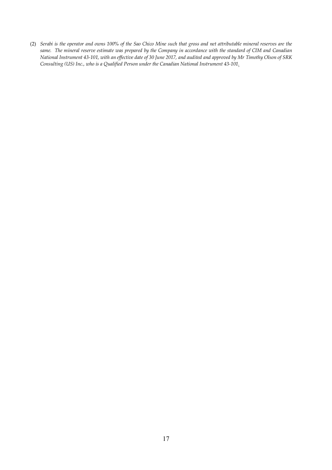(2) *Serabi is the operator and owns 100% of the Sao Chico Mine such that gross and net attributable mineral reserves are the same. The mineral reserve estimate was prepared by the Company in accordance with the standard of CIM and Canadian National Instrument 43-101, with an effective date of 30 June 2017, and audited and approved by Mr Timothy Olson of SRK Consulting (US) Inc., who is a Qualified Person under the Canadian National Instrument 43-101.*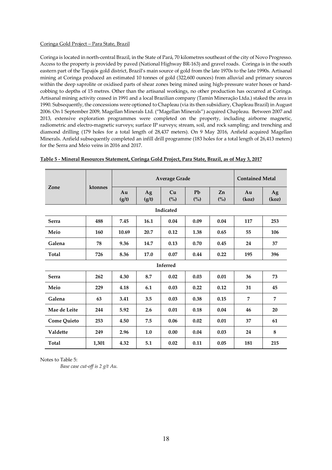#### Coringa Gold Project – Para State, Brazil

Coringa is located in north-central Brazil, in the State of Pará, 70 kilometres southeast of the city of Novo Progresso. Access to the property is provided by paved (National Highway BR-163) and gravel roads. Coringa is in the south eastern part of the Tapajós gold district, Brazil's main source of gold from the late 1970s to the late 1990s. Artisanal mining at Coringa produced an estimated 10 tonnes of gold (322,600 ounces) from alluvial and primary sources within the deep saprolite or oxidised parts of shear zones being mined using high-pressure water hoses or handcobbing to depths of 15 metres. Other than the artisanal workings, no other production has occurred at Coringa. Artisanal mining activity ceased in 1991 and a local Brazilian company (Tamin Mineração Ltda.) staked the area in 1990. Subsequently, the concessions were optioned to Chapleau (via its then subsidiary, Chapleau Brazil) in August 2006. On 1 September 2009, Magellan Minerals Ltd. ("Magellan Minerals") acquired Chapleau. Between 2007 and 2013, extensive exploration programmes were completed on the property, including airborne magnetic, radiometric and electro-magnetic surveys; surface IP surveys; stream, soil, and rock sampling; and trenching and diamond drilling (179 holes for a total length of 28,437 meters). On 9 May 2016, Anfield acquired Magellan Minerals. Anfield subsequently completed an infill drill programme (183 holes for a total length of 26,413 meters) for the Serra and Meio veins in 2016 and 2017.

|                    |       | <b>Average Grade</b> |             |                         |           |           | <b>Contained Metal</b> |             |  |  |
|--------------------|-------|----------------------|-------------|-------------------------|-----------|-----------|------------------------|-------------|--|--|
| Zone<br>ktonnes    |       | Au<br>(g/t)          | Ag<br>(g/t) | Cu<br>(° <sub>o</sub> ) | Pb<br>(%) | Zn<br>(%) | Au<br>(koz)            | Ag<br>(koz) |  |  |
| Indicated          |       |                      |             |                         |           |           |                        |             |  |  |
| <b>Serra</b>       | 488   | 7.45                 | 16.1        | 0.04                    | 0.09      | 0.04      | 117                    | 253         |  |  |
| Meio               | 160   | 10.69                | 20.7        | 0.12                    | 1.38      | 0.65      | 55                     | 106         |  |  |
| Galena             | 78    | 9.36                 | 14.7        | 0.13                    | 0.70      | 0.45      | 24                     | 37          |  |  |
| <b>Total</b>       | 726   | 8.36                 | 17.0        | 0.07                    | 0.44      | 0.22      | 195                    | 396         |  |  |
| Inferred           |       |                      |             |                         |           |           |                        |             |  |  |
| <b>Serra</b>       | 262   | 4.30                 | 8.7         | 0.02                    | 0.03      | 0.01      | 36                     | 73          |  |  |
| Meio               | 229   | 4.18                 | 6.1         | 0.03                    | 0.22      | 0.12      | 31                     | 45          |  |  |
| Galena             | 63    | 3.41                 | 3.5         | 0.03                    | 0.38      | 0.15      | 7                      | 7           |  |  |
| Mae de Leite       | 244   | 5.92                 | 2.6         | 0.01                    | 0.18      | 0.04      | 46                     | 20          |  |  |
| <b>Come Quieto</b> | 253   | 4.50                 | 7.5         | 0.06                    | 0.02      | 0.01      | 37                     | 61          |  |  |
| Valdette           | 249   | 2.96                 | 1.0         | 0.00                    | 0.04      | 0.03      | 24                     | 8           |  |  |
| Total              | 1,301 | 4.32                 | 5.1         | 0.02                    | 0.11      | 0.05      | 181                    | 215         |  |  |

# **Table 5 - Mineral Resources Statement, Coringa Gold Project, Para State, Brazil, as of May 3, 2017**

Notes to Table 5:

*Base case cut-off is 2 g/t Au.*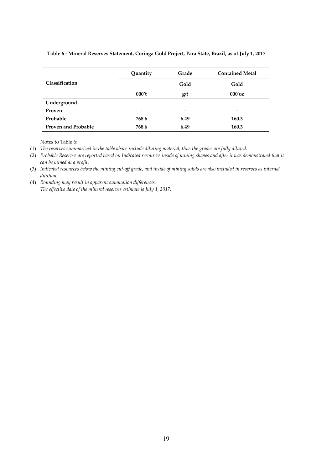|                            | Quantity                 | Grade                    | <b>Contained Metal</b> |
|----------------------------|--------------------------|--------------------------|------------------------|
| Classification             |                          | Gold                     | Gold                   |
|                            | 000't                    | g/t                      | $000'$ oz              |
| Underground                |                          |                          |                        |
| Proven                     | $\overline{\phantom{a}}$ | $\overline{\phantom{0}}$ | -                      |
| Probable                   | 768.6                    | 6.49                     | 160.3                  |
| <b>Proven and Probable</b> | 768.6                    | 6.49                     | 160.3                  |

# **Table 6 - Mineral Reserves Statement, Coringa Gold Project, Para State, Brazil, as of July 1, 2017**

Notes to Table 6:

(1) *The reserves summarized in the table above include diluting material, thus the grades are fully diluted.* 

(2) *Probable Reserves are reported based on Indicated resources inside of mining shapes and after it was demonstrated that it can be mined at a profit.* 

(3) *Indicated resources below the mining cut-off grade, and inside of mining solids are also included in reserves as internal dilution.* 

(4) *Rounding may result in apparent summation differences. The effective date of the mineral reserves estimate is July 1, 2017.*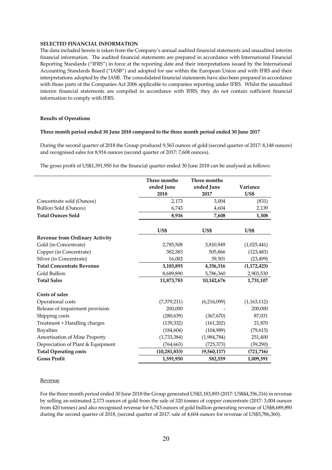## **SELECTED FINANCIAL INFORMATION**

The data included herein is taken from the Company's annual audited financial statements and unaudited interim financial information. The audited financial statements are prepared in accordance with International Financial Reporting Standards ("IFRS") in force at the reporting date and their interpretations issued by the International Accounting Standards Board ("IASB") and adopted for use within the European Union and with IFRS and their interpretations adopted by the IASB. The consolidated financial statements have also been prepared in accordance with those parts of the Companies Act 2006 applicable to companies reporting under IFRS. Whilst the unaudited interim financial statements are compiled in accordance with IFRS, they do not contain sufficient financial information to comply with IFRS.

## **Results of Operations**

## **Three month period ended 30 June 2018 compared to the three month period ended 30 June 2017**

During the second quarter of 2018 the Group produced 9,563 ounces of gold (second quarter of 2017: 8,148 ounces) and recognised sales for 8,916 ounces (second quarter of 2017: 7,608 ounces).

The gross profit of US\$1,391,950 for the financial quarter ended 30 June 2018 can be analysed as follows:

|                                       | Three months<br>ended June<br>2018 | Three months<br>ended June<br>2017 | Variance<br>US\$ |
|---------------------------------------|------------------------------------|------------------------------------|------------------|
| Concentrate sold (Ounces)             | 2,173                              | 3,004                              | (831)            |
| <b>Bullion Sold (Ounces)</b>          | 6,743                              | 4,604                              | 2,139            |
| <b>Total Ounces Sold</b>              |                                    |                                    |                  |
|                                       | 8,916                              | 7,608                              | 1,308            |
|                                       | US\$                               | US\$                               | US\$             |
| <b>Revenue from Ordinary Activity</b> |                                    |                                    |                  |
| Gold (in Concentrate)                 | 2,785,508                          | 3,810,949                          | (1,025,441)      |
| Copper (in Concentrate)               | 382,383                            | 505,866                            | (123, 483)       |
| Silver (in Concentrate)               | 16,002                             | 39,501                             | (23, 499)        |
| <b>Total Concentrate Revenue</b>      | 3,183,893                          | 4,356,316                          | (1,172,423)      |
| Gold Bullion                          | 8,689,890                          | 5,786,360                          | 2,903,530        |
| <b>Total Sales</b>                    | 11,873,783                         | 10,142,676                         | 1,731,107        |
| <b>Costs of sales</b>                 |                                    |                                    |                  |
| Operational costs                     | (7,379,211)                        | (6,216,099)                        | (1,163,112)      |
| Release of impairment provision       | 200,000                            |                                    | 200,000          |
| Shipping costs                        | (280, 639)                         | (367, 670)                         | 87,031           |
| Treatment + Handling charges          | (139, 332)                         | (161,202)                          | 21,870           |
| Royalties                             | (184, 604)                         | (104,989)                          | (79, 615)        |
| <b>Amortisation of Mine Property</b>  | (1,733,384)                        | (1,984,784)                        | 251,400          |
| Depreciation of Plant & Equipment     | (764, 663)                         | (725, 373)                         | (39, 290)        |
| <b>Total Operating costs</b>          | (10, 281, 833)                     | (9,560,117)                        | (721, 716)       |
| <b>Gross Profit</b>                   | 1,591,950                          | 582,559                            | 1,009,391        |

#### Revenue

For the three month period ended 30 June 2018 the Group generated US\$3,183,893 (2017: US\$\$4,356,316) in revenue by selling an estimated 2,173 ounces of gold from the sale of 320 tonnes of copper concentrate (2017: 3,004 ounces from 420 tonnes) and also recognised revenue for 6,743 ounces of gold bullion generating revenue of US\$8,689,890 during the second quarter of 2018, (second quarter of 2017: sale of 4,604 ounces for revenue of US\$5,786,360).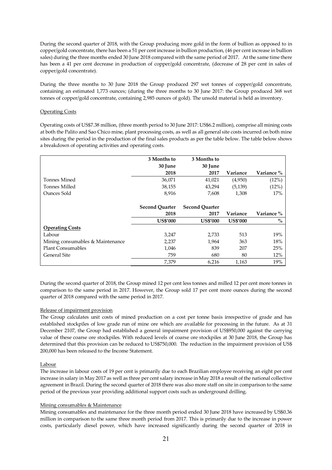During the second quarter of 2018, with the Group producing more gold in the form of bullion as opposed to in copper/gold concentrate, there has been a 51 per cent increase in bullion production, (46 per cent increase in bullion sales) during the three months ended 30 June 2018 compared with the same period of 2017. At the same time there has been a 41 per cent decrease in production of copper/gold concentrate, (decrease of 28 per cent in sales of copper/gold concentrate).

During the three months to 30 June 2018 the Group produced 297 wet tonnes of copper/gold concentrate, containing an estimated 1,773 ounces; (during the three months to 30 June 2017: the Group produced 368 wet tonnes of copper/gold concentrate, containing 2,985 ounces of gold). The unsold material is held as inventory.

# Operating Costs

Operating costs of US\$7.38 million, (three month period to 30 June 2017: US\$6.2 million), comprise all mining costs at both the Palito and Sao Chico mine, plant processing costs, as well as all general site costs incurred on both mine sites during the period in the production of the final sales products as per the table below. The table below shows a breakdown of operating activities and operating costs.

|                                  | 3 Months to           | 3 Months to           |                 |            |
|----------------------------------|-----------------------|-----------------------|-----------------|------------|
|                                  | 30 June               | 30 June               |                 |            |
|                                  | 2018                  | 2017                  | Variance        | Variance % |
| Tonnes Mined                     | 36,071                | 41,021                | (4,950)         | (12%)      |
| Tonnes Milled                    | 38,155                | 43,294                | (5, 139)        | (12%)      |
| Ounces Sold                      | 8,916                 | 7,608                 | 1,308           | 17%        |
|                                  |                       |                       |                 |            |
|                                  | <b>Second Quarter</b> | <b>Second Ouarter</b> |                 |            |
|                                  | 2018                  | 2017                  | Variance        | Variance % |
|                                  |                       |                       |                 |            |
|                                  | <b>US\$'000</b>       | <b>US\$'000</b>       | <b>US\$'000</b> | $\%$       |
| <b>Operating Costs</b>           |                       |                       |                 |            |
| Labour                           | 3,247                 | 2,733                 | 513             | 19%        |
| Mining consumables & Maintenance | 2,237                 | 1,964                 | 363             | 18%        |
| <b>Plant Consumables</b>         | 1,046                 | 839                   | 207             | 25%        |
| <b>General Site</b>              | 759                   | 680                   | 80              | 12%        |

During the second quarter of 2018, the Group mined 12 per cent less tonnes and milled 12 per cent more tonnes in comparison to the same period in 2017. However, the Group sold 17 per cent more ounces during the second quarter of 2018 compared with the same period in 2017.

#### Release of impairment provision

The Group calculates unit costs of mined production on a cost per tonne basis irrespective of grade and has established stockpiles of low grade run of mine ore which are available for processing in the future. As at 31 December 2107, the Group had established a general impairment provision of US\$950,000 against the carrying value of these coarse ore stockpiles. With reduced levels of coarse ore stockpiles at 30 June 2018, the Group has determined that this provision can be reduced to US\$750,000. The reduction in the impairment provision of US\$ 200,000 has been released to the Income Statement.

# Labour

The increase in labour costs of 19 per cent is primarily due to each Brazilian employee receiving an eight per cent increase in salary in May 2017 as well as three per cent salary increase in May 2018 a result of the national collective agreement in Brazil. During the second quarter of 2018 there was also more staff on site in comparison to the same period of the previous year providing additional support costs such as underground drilling.

# Mining consumables & Maintenance

Mining consumables and maintenance for the three month period ended 30 June 2018 have increased by US\$0.36 million in comparison to the same three month period from 2017. This is primarily due to the increase in power costs, particularly diesel power, which have increased significantly during the second quarter of 2018 in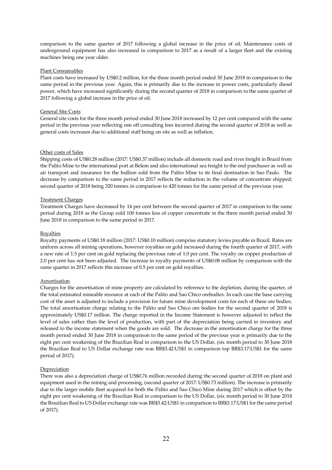comparison to the same quarter of 2017 following a global increase in the price of oil. Maintenance costs of underground equipment has also increased in comparison to 2017 as a result of a larger fleet and the existing machines being one year older.

## Plant Consumables

Plant costs have increased by US\$0.2 million, for the three month period ended 30 June 2018 in comparison to the same period in the previous year. Again, this is primarily due to the increase in power costs, particularly diesel power, which have increased significantly during the second quarter of 2018 in comparison to the same quarter of 2017 following a global increase in the price of oil.

## General Site Costs

General site costs for the three month period ended 30 June 2018 increased by 12 per cent compared with the same period in the previous year reflecting one off consulting fees incurred during the second quarter of 2018 as well as general costs increases due to additional staff being on site as well as inflation.

## Other costs of Sales

Shipping costs of US\$0.28 million (2017: US\$0.37 million) include all domestic road and river freight in Brazil from the Palito Mine to the international port at Belem and also international sea freight to the end purchaser as well as air transport and insurance for the bullion sold from the Palito Mine to its final destination in Sao Paulo. The decrease by comparison to the same period in 2017 reflects the reduction in the volume of concentrate shipped; second quarter of 2018 being 320 tonnes in comparison to 420 tonnes for the same period of the previous year.

# Treatment Charges

Treatment Charges have decreased by 14 per cent between the second quarter of 2017 in comparison to the same period during 2018 as the Group sold 100 tonnes less of copper concentrate in the three month period ended 30 June 2018 in comparison to the same period in 2017.

## Royalties

Royalty payments of US\$0.18 million (2017: US\$0.10 million) comprise statutory levies payable in Brazil. Rates are uniform across all mining operations, however royalties on gold increased during the fourth quarter of 2017, with a new rate of 1.5 per cent on gold replacing the previous rate of 1.0 per cent. The royalty on copper production of 2.0 per cent has not been adjusted. The increase in royalty payments of US\$0.08 million by comparison with the same quarter in 2017 reflects this increase of 0.5 per cent on gold royalties.

# Amortisation

Charges for the amortisation of mine property are calculated by reference to the depletion, during the quarter, of the total estimated mineable resource at each of the Palito and Sao Chico orebodies. In each case the base carrying cost of the asset is adjusted to include a provision for future mine development costs for each of these ore bodies. The total amortisation charge relating to the Palito and Sao Chico ore bodies for the second quarter of 2018 is approximately US\$0.17 million. The charge reported in the Income Statement is however adjusted to reflect the level of sales rather than the level of production, with part of the depreciation being carried in inventory and released to the income statement when the goods are sold. The decrease in the amortisation charge for the three month period ended 30 June 2018 in comparison to the same period of the previous year is primarily due to the eight per cent weakening of the Brazilian Real in comparison to the US Dollar, (six month period to 30 June 2018 the Brazilian Real to US Dollar exchange rate was BR\$3.42:US\$1 in comparison top BR\$3.17:US\$1 for the same period of 2017).

# **Depreciation**

There was also a depreciation charge of US\$0.76 million recorded during the second quarter of 2018 on plant and equipment used in the mining and processing, (second quarter of 2017: US\$0.73 million). The increase is primarily due to the larger mobile fleet acquired for both the Palito and Sao Chico Mine during 2017 which is offset by the eight per cent weakening of the Brazilian Real in comparison to the US Dollar, (six month period to 30 June 2018 the Brazilian Real to US Dollar exchange rate was BR\$3.42:US\$1 in comparison to BR\$3.17:US\$1 for the same period of 2017).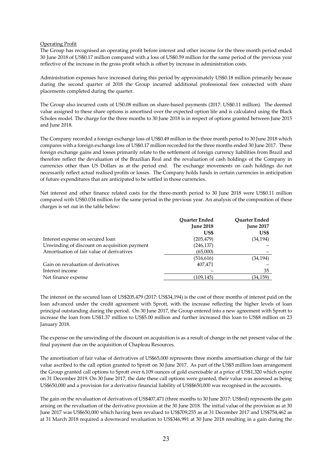## Operating Profit

The Group has recognised an operating profit before interest and other income for the three month period ended 30 June 2018 of US\$0.17 million compared with a loss of US\$0.59 million for the same period of the previous year reflective of the increase in the gross profit which is offset by increase in administration costs.

Administration expenses have increased during this period by approximately US\$0.18 million primarily because during the second quarter of 2018 the Group incurred additional professional fees connected with share placements completed during the quarter.

The Group also incurred costs of US0.08 million on share-based payments (2017: US\$0.11 million). The deemed value assigned to these share options is amortised over the expected option life and is calculated using the Black Scholes model. The charge for the three months to 30 June 2018 is in respect of options granted between June 2015 and June 2018.

The Company recorded a foreign exchange loss of US\$0.49 million in the three month period to 30 June 2018 which compares with a foreign exchange loss of US\$0.17 million recorded for the three months ended 30 June 2017. These foreign exchange gains and losses primarily relate to the settlement of foreign currency liabilities from Brazil and therefore reflect the devaluation of the Brazilian Real and the revaluation of cash holdings of the Company in currencies other than US Dollars as at the period end. The exchange movements on cash holdings do not necessarily reflect actual realised profits or losses. The Company holds funds in certain currencies in anticipation of future expenditures that are anticipated to be settled in those currencies.

Net interest and other finance related costs for the three-month period to 30 June 2018 were US\$0.11 million compared with US\$0.034 million for the same period in the previous year. An analysis of the composition of these charges is set out in the table below:

|                                              | <b>Ouarter Ended</b><br><b>June 2018</b><br>US\$ | <b>Ouarter Ended</b><br><b>June 2017</b><br>US\$ |
|----------------------------------------------|--------------------------------------------------|--------------------------------------------------|
| Interest expense on secured loan             | (205, 479)                                       | (34, 194)                                        |
| Unwinding of discount on acquisition payment | (246, 137)                                       |                                                  |
| Amortisation of fair value of derivatives    | (65,000)                                         |                                                  |
|                                              | (516, 616)                                       | (34, 194)                                        |
| Gain on revaluation of derivatives           | 407.471                                          |                                                  |
| Interest income                              |                                                  | 35                                               |
| Net finance expense                          | (109.145)                                        | (34,159)                                         |
|                                              |                                                  |                                                  |

The interest on the secured loan of US\$205,479 (2017: US\$34,194) is the cost of three months of interest paid on the loan advanced under the credit agreement with Sprott, with the increase reflecting the higher levels of loan principal outstanding during the period. On 30 June 2017, the Group entered into a new agreement with Sprott to increase the loan from US\$1.37 million to US\$5.00 million and further increased this loan to US\$8 million on 23 January 2018.

The expense on the unwinding of the discount on acquisition is as a result of change in the net present value of the final payment due on the acquisition of Chapleau Resources.

The amortisation of fair value of derivatives of US\$65,000 represents three months amortisation charge of the fair value ascribed to the call option granted to Sprott on 30 June 2017. As part of the US\$5 million loan arrangement the Group granted call options to Sprott over 6,109 ounces of gold exercisable at a price of US\$1,320 which expire on 31 December 2019. On 30 June 2017, the date these call options were granted, their value was assessed as being US\$650,000 and a provision for a derivative financial liability of US\$\$650,000 was recognised in the accounts.

The gain on the revaluation of derivatives of US\$407,471 (three months to 30 June 2017: US\$nil) represents the gain arising on the revaluation of the derivative provision at the 30 June 2018. The initial value of the provision as at 30 June 2017 was US\$650,000 which having been revalued to US\$709,255 as at 31 December 2017 and US\$754,462 as at 31 March 2018 required a downward revaluation to US\$346,991 at 30 June 2018 resulting in a gain during the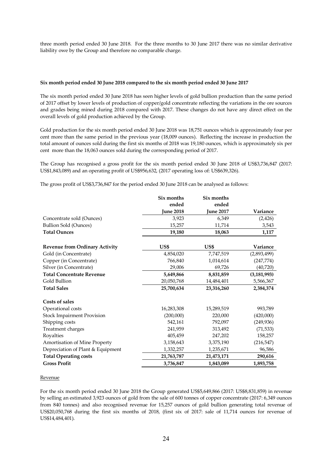three month period ended 30 June 2018. For the three months to 30 June 2017 there was no similar derivative liability owe by the Group and therefore no comparable charge.

## **Six month period ended 30 June 2018 compared to the six month period ended 30 June 2017**

The six month period ended 30 June 2018 has seen higher levels of gold bullion production than the same period of 2017 offset by lower levels of production of copper/gold concentrate reflecting the variations in the ore sources and grades being mined during 2018 compared with 2017. These changes do not have any direct effect on the overall levels of gold production achieved by the Group.

Gold production for the six month period ended 30 June 2018 was 18,751 ounces which is approximately four per cent more than the same period in the previous year (18,009 ounces). Reflecting the increase in production the total amount of ounces sold during the first six months of 2018 was 19,180 ounces, which is approximately six per cent more than the 18,063 ounces sold during the corresponding period of 2017.

The Group has recognised a gross profit for the six month period ended 30 June 2018 of US\$3,736,847 (2017: US\$1,843,089) and an operating profit of US\$956,632, (2017 operating loss of: US\$639,326).

The gross profit of US\$3,736,847 for the period ended 30 June 2018 can be analysed as follows:

|                                       | Six months       | Six months       |               |
|---------------------------------------|------------------|------------------|---------------|
|                                       | ended            | ended            |               |
|                                       | <b>June 2018</b> | <b>June 2017</b> | Variance      |
| Concentrate sold (Ounces)             | 3,923            | 6,349            | (2, 426)      |
| <b>Bullion Sold (Ounces)</b>          | 15,257           | 11,714           | 3,543         |
| <b>Total Ounces</b>                   | 19,180           | 18,063           | 1,117         |
| <b>Revenue from Ordinary Activity</b> | US\$             | US\$             | Variance      |
| Gold (in Concentrate)                 | 4,854,020        | 7,747,519        | (2,893,499)   |
| Copper (in Concentrate)               | 766,840          | 1,014,614        | (247, 774)    |
| Silver (in Concentrate)               | 29,006           | 69,726           | (40, 720)     |
| <b>Total Concentrate Revenue</b>      | 5,649,866        | 8,831,859        | (3, 181, 993) |
| Gold Bullion                          | 20,050,768       | 14,484,401       | 5,566,367     |
| <b>Total Sales</b>                    | 25,700,634       | 23,316,260       | 2,384,374     |
| Costs of sales                        |                  |                  |               |
| Operational costs                     | 16,283,308       | 15,289,519       | 993,789       |
| <b>Stock Impairment Provision</b>     | (200,000)        | 220,000          | (420,000)     |
| Shipping costs                        | 542,161          | 792,097          | (249, 936)    |
| Treatment charges                     | 241,959          | 313,492          | (71, 533)     |
| Royalties                             | 405,459          | 247,202          | 158,257       |
| <b>Amortisation of Mine Property</b>  | 3,158,643        | 3,375,190        | (216, 547)    |
| Depreciation of Plant & Equipment     | 1,332,257        | 1,235,671        | 96,586        |
| <b>Total Operating costs</b>          | 21,763,787       | 21,473,171       | 290,616       |
| <b>Gross Profit</b>                   | 3,736,847        | 1,843,089        | 1,893,758     |

#### Revenue

For the six month period ended 30 June 2018 the Group generated US\$5,649,866 (2017: US\$8,831,859) in revenue by selling an estimated 3,923 ounces of gold from the sale of 600 tonnes of copper concentrate (2017: 6,349 ounces from 840 tonnes) and also recognised revenue for 15,257 ounces of gold bullion generating total revenue of US\$20,050,768 during the first six months of 2018, (first six of 2017: sale of 11,714 ounces for revenue of US\$14,484,401).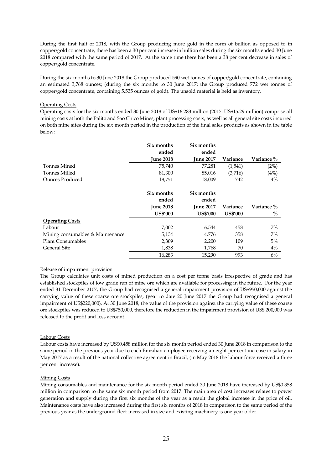During the first half of 2018, with the Group producing more gold in the form of bullion as opposed to in copper/gold concentrate, there has been a 30 per cent increase in bullion sales during the six months ended 30 June 2018 compared with the same period of 2017. At the same time there has been a 38 per cent decrease in sales of copper/gold concentrate.

During the six months to 30 June 2018 the Group produced 590 wet tonnes of copper/gold concentrate, containing an estimated 3,768 ounces; (during the six months to 30 June 2017: the Group produced 772 wet tonnes of copper/gold concentrate, containing 5,535 ounces of gold). The unsold material is held as inventory.

## Operating Costs

Operating costs for the six months ended 30 June 2018 of US\$16.283 million (2017: US\$15.29 million) comprise all mining costs at both the Palito and Sao Chico Mines, plant processing costs, as well as all general site costs incurred on both mine sites during the six month period in the production of the final sales products as shown in the table below:

|                                  | Six months       | Six months       |                 |            |
|----------------------------------|------------------|------------------|-----------------|------------|
|                                  | ended            | ended            |                 |            |
|                                  | <b>Iune 2018</b> | <b>June 2017</b> | Variance        | Variance % |
| Tonnes Mined                     | 75,740           | 77,281           | (1,541)         | (2%)       |
| Tonnes Milled                    | 81,300           | 85,016           | (3,716)         | (4%)       |
| <b>Ounces Produced</b>           | 18,751           | 18,009           | 742             | $4\%$      |
|                                  | Six months       | Six months       |                 |            |
|                                  | ended            | ended            |                 |            |
|                                  | <b>June 2018</b> | <b>June 2017</b> | Variance        | Variance % |
|                                  | <b>US\$'000</b>  | <b>US\$'000</b>  | <b>US\$'000</b> | $\%$       |
| <b>Operating Costs</b>           |                  |                  |                 |            |
| Labour                           | 7,002            | 6,544            | 458             | 7%         |
| Mining consumables & Maintenance | 5,134            | 4,776            | 358             | $7\%$      |
| <b>Plant Consumables</b>         | 2,309            | 2,200            | 109             | 5%         |
| General Site                     | 1,838            | 1,768            | 70              | $4\%$      |
|                                  | 16,283           | 15,290           | 993             | 6%         |

#### Release of impairment provision

The Group calculates unit costs of mined production on a cost per tonne basis irrespective of grade and has established stockpiles of low grade run of mine ore which are available for processing in the future. For the year ended 31 December 2107, the Group had recognised a general impairment provision of US\$950,000 against the carrying value of these coarse ore stockpiles, (year to date 20 June 2017 the Group had recognised a general impairment of US\$220,000). At 30 June 2018, the value of the provision against the carrying value of these coarse ore stockpiles was reduced to US\$750,000, therefore the reduction in the impairment provision of US\$ 200,000 was released to the profit and loss account.

## Labour Costs

Labour costs have increased by US\$0.458 million for the six month period ended 30 June 2018 in comparison to the same period in the previous year due to each Brazilian employee receiving an eight per cent increase in salary in May 2017 as a result of the national collective agreement in Brazil, (in May 2018 the labour force received a three per cent increase).

#### Mining Costs

Mining consumables and maintenance for the six month period ended 30 June 2018 have increased by US\$0.358 million in comparison to the same six month period from 2017. The main area of cost increases relates to power generation and supply during the first six months of the year as a result the global increase in the price of oil. Maintenance costs have also increased during the first six months of 2018 in comparison to the same period of the previous year as the underground fleet increased in size and existing machinery is one year older.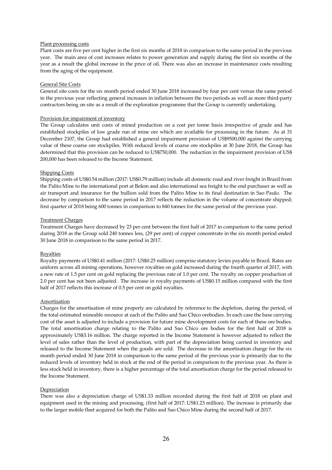## Plant processing costs

Plant costs are five per cent higher in the first six months of 2018 in comparison to the same period in the previous year. The main area of cost increases relates to power generation and supply during the first six months of the year as a result the global increase in the price of oil. There was also an increase in maintenance costs resulting from the aging of the equipment.

## General Site Costs

General site costs for the six month period ended 30 June 2018 increased by four per cent versus the same period in the previous year reflecting general increases in inflation between the two periods as well as more third-party contractors being on site as a result of the exploration programme that the Group is currently undertaking.

## Provision for impairment of inventory

The Group calculates unit costs of mined production on a cost per tonne basis irrespective of grade and has established stockpiles of low grade run of mine ore which are available for processing in the future. As at 31 December 2107, the Group had established a general impairment provision of US\$9500,000 against the carrying value of these coarse ore stockpiles. With reduced levels of coarse ore stockpiles at 30 June 2018, the Group has determined that this provision can be reduced to US\$750,000. The reduction in the impairment provision of US\$ 200,000 has been released to the Income Statement.

## Shipping Costs

Shipping costs of US\$0.54 million (2017: US\$0.79 million) include all domestic road and river freight in Brazil from the Palito Mine to the international port at Belem and also international sea freight to the end purchaser as well as air transport and insurance for the bullion sold from the Palito Mine to its final destination in Sao Paulo. The decrease by comparison to the same period in 2017 reflects the reduction in the volume of concentrate shipped; first quarter of 2018 being 600 tonnes in comparison to 840 tonnes for the same period of the previous year.

## Treatment Charges

Treatment Charges have decreased by 23 per cent between the first half of 2017 in comparison to the same period during 2018 as the Group sold 240 tonnes less, (29 per cent) of copper concentrate in the six month period ended 30 June 2018 in comparison to the same period in 2017.

# Royalties

Royalty payments of US\$0.41 million (2017: US\$0.25 million) comprise statutory levies payable in Brazil. Rates are uniform across all mining operations, however royalties on gold increased during the fourth quarter of 2017, with a new rate of 1.5 per cent on gold replacing the previous rate of 1.0 per cent. The royalty on copper production of 2.0 per cent has not been adjusted. The increase in royalty payments of US\$0.15 million compared with the first half of 2017 reflects this increase of 0.5 per cent on gold royalties.

#### **Amortisation**

Charges for the amortisation of mine property are calculated by reference to the depletion, during the period, of the total estimated mineable resource at each of the Palito and Sao Chico orebodies. In each case the base carrying cost of the asset is adjusted to include a provision for future mine development costs for each of these ore bodies. The total amortisation charge relating to the Palito and Sao Chico ore bodies for the first half of 2018 is approximately US\$3.16 million. The charge reported in the Income Statement is however adjusted to reflect the level of sales rather than the level of production, with part of the depreciation being carried in inventory and released to the Income Statement when the goods are sold. The decrease in the amortisation charge for the six month period ended 30 June 2018 in comparison to the same period of the previous year is primarily due to the reduced levels of inventory held in stock at the end of the period in comparison to the previous year. As there is less stock held in inventory, there is a higher percentage of the total amortisation charge for the period released to the Income Statement.

#### **Depreciation**

There was also a depreciation charge of US\$1.33 million recorded during the first half of 2018 on plant and equipment used in the mining and processing, (first half of 2017: US\$1.23 million). The increase is primarily due to the larger mobile fleet acquired for both the Palito and Sao Chico Mine during the second half of 2017.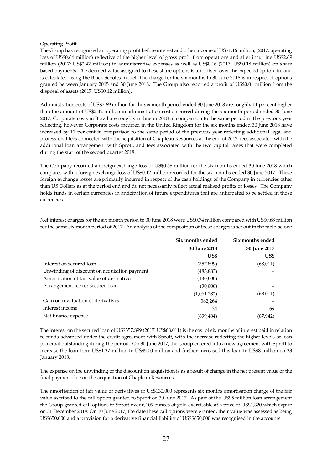## Operating Profit

The Group has recognised an operating profit before interest and other income of US\$1.16 million, (2017: operating loss of US\$0.64 million) reflective of the higher level of gross profit from operations and after incurring US\$2.69 million (2017: US\$2.42 million) in administrative expenses as well as US\$0.16 (2017: US\$0.18 million) on share based payments. The deemed value assigned to these share options is amortised over the expected option life and is calculated using the Black Scholes model. The charge for the six months to 30 June 2018 is in respect of options granted between January 2015 and 30 June 2018. The Group also reported a profit of US\$0.01 million from the disposal of assets (2017: US\$0.12 million).

Administration costs of US\$2.69 million for the six month period ended 30 June 2018 are roughly 11 per cent higher than the amount of US\$2.42 million in administration costs incurred during the six month period ended 30 June 2017. Corporate costs in Brazil are roughly in line in 2018 in comparison to the same period in the previous year reflecting, however Corporate costs incurred in the United Kingdom for the six months ended 30 June 2018 have increased by 17 per cent in comparison to the same period of the previous year reflecting additional legal and professional fees connected with the acquisition of Chapleau Resources at the end of 2017, fees associated with the additional loan arrangement with Sprott, and fees associated with the two capital raises that were completed during the start of the second quarter 2018.

The Company recorded a foreign exchange loss of US\$0.56 million for the six months ended 30 June 2018 which compares with a foreign exchange loss of US\$0.12 million recorded for the six months ended 30 June 2017. These foreign exchange losses are primarily incurred in respect of the cash holdings of the Company in currencies other than US Dollars as at the period end and do not necessarily reflect actual realised profits or losses. The Company holds funds in certain currencies in anticipation of future expenditures that are anticipated to be settled in those currencies.

|                                              | Six months ended | Six months ended |
|----------------------------------------------|------------------|------------------|
|                                              | 30 June 2018     | 30 June 2017     |
|                                              | US\$             | US\$             |
| Interest on secured loan                     | (357, 899)       | (68, 011)        |
| Unwinding of discount on acquisition payment | (483, 883)       |                  |
| Amortisation of fair value of derivatives    | (130,000)        |                  |
| Arrangement fee for secured loan             | (90,000)         |                  |
|                                              | (1,061,782)      | (68, 011)        |
| Gain on revaluation of derivatives           | 362,264          |                  |
| Interest income                              | 34               | 69               |
| Net finance expense                          | (699,484)        | (67,942)         |

Net interest charges for the six month period to 30 June 2018 were US\$0.74 million compared with US\$0.68 million for the same six month period of 2017. An analysis of the composition of these charges is set out in the table below:

The interest on the secured loan of US\$357,899 (2017: US\$68,011) is the cost of six months of interest paid in relation to funds advanced under the credit agreement with Sprott, with the increase reflecting the higher levels of loan principal outstanding during the period. On 30 June 2017, the Group entered into a new agreement with Sprott to increase the loan from US\$1.37 million to US\$5.00 million and further increased this loan to US\$8 million on 23 January 2018.

The expense on the unwinding of the discount on acquisition is as a result of change in the net present value of the final payment due on the acquisition of Chapleau Resources.

The amortisation of fair value of derivatives of US\$130,000 represents six months amortisation charge of the fair value ascribed to the call option granted to Sprott on 30 June 2017. As part of the US\$5 million loan arrangement the Group granted call options to Sprott over 6,109 ounces of gold exercisable at a price of US\$1,320 which expire on 31 December 2019. On 30 June 2017, the date these call options were granted, their value was assessed as being US\$650,000 and a provision for a derivative financial liability of US\$\$650,000 was recognised in the accounts.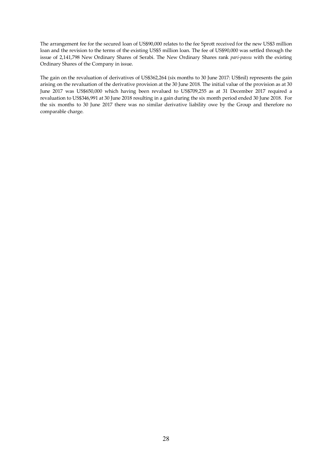The arrangement fee for the secured loan of US\$90,000 relates to the fee Sprott received for the new US\$3 million loan and the revision to the terms of the existing US\$5 million loan. The fee of US\$90,000 was settled through the issue of 2,141,798 New Ordinary Shares of Serabi. The New Ordinary Shares rank *pari-passu* with the existing Ordinary Shares of the Company in issue.

The gain on the revaluation of derivatives of US\$362,264 (six months to 30 June 2017: US\$nil) represents the gain arising on the revaluation of the derivative provision at the 30 June 2018. The initial value of the provision as at 30 June 2017 was US\$650,000 which having been revalued to US\$709,255 as at 31 December 2017 required a revaluation to US\$346,991 at 30 June 2018 resulting in a gain during the six month period ended 30 June 2018. For the six months to 30 June 2017 there was no similar derivative liability owe by the Group and therefore no comparable charge.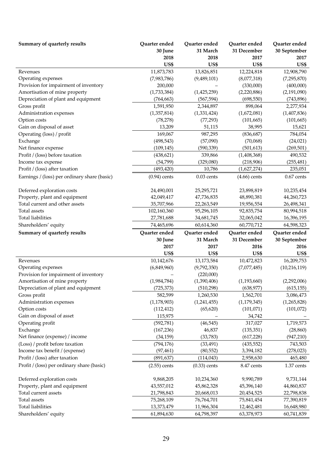| Summary of quarterly results                                           | Quarter ended            | Quarter ended            | Quarter ended            | Quarter ended            |
|------------------------------------------------------------------------|--------------------------|--------------------------|--------------------------|--------------------------|
|                                                                        | 30 June                  | 31 March                 | 31 December              | 30 September             |
|                                                                        | 2018                     | 2018                     | 2017                     | 2017                     |
|                                                                        | US\$                     | US\$                     | <b>US\$</b>              | US\$                     |
| Revenues                                                               | 11,873,783               | 13,826,851               | 12,224,818               | 12,908,790               |
| Operating expenses                                                     | (7,983,786)              | (9,489,101)              | (8,077,318)              | (7,295,870)              |
| Provision for impairment of inventory                                  | 200,000                  |                          | (330,000)                | (400,000)                |
| Amortisation of mine property                                          | (1,733,384)              | (1,425,259)              | (2,220,886)              | (2,191,090)              |
| Depreciation of plant and equipment                                    | (764, 663)               | (567, 594)               | (698, 550)               | (743, 896)               |
| Gross profit                                                           | 1,591,950                | 2,344,897                | 898,064                  | 2,277,934                |
| Administration expenses                                                | (1,357,814)              | (1,331,424)              | (1,672,081)              | (1,407,836)              |
| Option costs                                                           | (78, 278)                | (77, 293)                | (101, 665)               | (101, 665)               |
| Gain on disposal of asset                                              | 13,209                   | 51,115                   | 38,995                   | 15,621                   |
| Operating (loss) / profit                                              | 169,067                  | 987,295                  | (836, 687)               | 784,054                  |
| Exchange                                                               | (498, 543)               | (57,090)                 | (70,068)                 | (24, 021)                |
| Net finance expense                                                    | (109, 145)               | (590, 339)               | (501, 613)               | (269, 501)               |
| Profit / (loss) before taxation                                        | (438, 621)               | 339,866                  | (1,408,368)              | 490,532                  |
| Income tax expense                                                     | (54, 799)                | (329,080)                | (218,906)                | (255, 481)               |
| Profit / (loss) after taxation                                         | (493, 420)               | 10,786                   | (1,627,274)              | 235,051                  |
| Earnings / (loss) per ordinary share (basic)                           | $(0.94)$ cents           | $0.03$ cents             | $(4.66)$ cents           | $0.67$ cents             |
| Deferred exploration costs                                             | 24,490,001               | 25,295,721               | 23,898,819               | 10,235,454               |
| Property, plant and equipment                                          | 42,049,417               | 47,736,835               | 48,890,381               | 44,260,723               |
| Total current and other assets                                         | 35,707,966               | 22,263,549               | 19,956,554               | 26,498,341               |
| Total assets                                                           | 102,160,360              | 95,296,105               | 92,835,754               | 80,994,518               |
| <b>Total liabilities</b>                                               | 27,781,688               | 34,681,745               | 32,065,042               | 16,396,195               |
| Shareholders' equity                                                   | 74,465,696               | 60,614,360               | 60,770,712               | 64,598,323               |
|                                                                        |                          |                          |                          |                          |
|                                                                        |                          |                          |                          |                          |
| Summary of quarterly results                                           | Quarter ended            | Quarter ended            | Quarter ended            | Quarter ended            |
|                                                                        | 30 June<br>2017          | 31 March                 | 31 December              | 30 September             |
|                                                                        |                          | 2017                     | 2016                     | 2016                     |
| Revenues                                                               | US\$<br>10,142,676       | US\$                     | <b>US\$</b>              | US\$                     |
|                                                                        |                          | 13, 173, 584             | 10,472,823               | 16,209,753               |
| Operating expenses                                                     | (6,849,960)              | (9,792,350)<br>(220,000) | (7,077,485)              | (10, 216, 119)           |
| Provision for impairment of inventory<br>Amortisation of mine property | (1,984,784)              | (1,390,406)              | (1, 193, 660)            | (2,292,006)              |
|                                                                        | (725, 373)               | (510, 298)               | (638, 977)               | (615, 155)               |
| Depreciation of plant and equipment<br>Gross profit                    | 582,599                  | 1,260,530                | 1,562,701                | 3,086,473                |
| Administration expenses                                                | (1, 178, 903)            | (1,241,455)              | (1, 179, 345)            | (1,265,828)              |
| Option costs                                                           | (112, 412)               | (65, 620)                | (101, 071)               | (101, 072)               |
| Gain on disposal of asset                                              | 115,975                  |                          | 34,742                   |                          |
| Operating profit                                                       | (592, 781)               | (46, 545)                | 317,027                  | 1,719,573                |
| Exchange                                                               | (167, 236)               | 46,837                   | (135, 351)               | (28, 860)                |
| Net finance (expense) / income                                         | (34, 159)                | (33,783)                 | (617, 228)               | (947, 210)               |
| (Loss) / profit before taxation                                        | (794, 176)               | (33, 491)                | (435, 552)               | 743,503                  |
| Income tax benefit / (expense)                                         | (97, 461)                | (80, 552)                | 3,394,182                | (278, 023)               |
| Profit / (loss) after taxation                                         | (891, 637)               | (114, 043)               | 2,958,630                | 465,480                  |
| Profit / (loss) per ordinary share (basic)                             | $(2.55)$ cents           | $(0.33)$ cents           | 8.47 cents               | 1.37 cents               |
|                                                                        |                          |                          |                          |                          |
| Deferred exploration costs                                             | 9,868,205                | 10,234,360               | 9,990,789                | 9,731,144                |
| Property, plant and equipment<br>Total current assets                  | 43,557,012               | 45,862,328               | 45,396,140               | 44,860,837               |
| Total assets                                                           | 21,798,843<br>75,268,109 | 20,668,013<br>76,764,701 | 20,454,525<br>75,841,454 | 22,798,838               |
| <b>Total liabilities</b>                                               | 13,373,479               | 11,966,304               | 12,462,481               | 77,390,819<br>16,648,980 |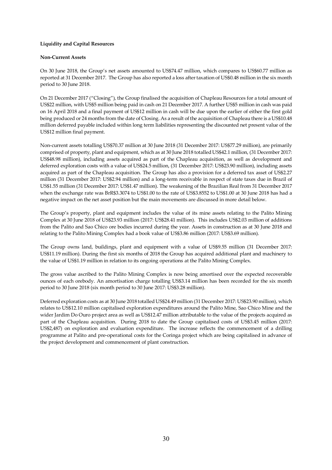# **Liquidity and Capital Resources**

## **Non-Current Assets**

On 30 June 2018, the Group's net assets amounted to US\$74.47 million, which compares to US\$60.77 million as reported at 31 December 2017. The Group has also reported a loss after taxation of US\$0.48 million in the six month period to 30 June 2018.

On 21 December 2017 ("Closing"), the Group finalised the acquisition of Chapleau Resources for a total amount of US\$22 million, with US\$5 million being paid in cash on 21 December 2017. A further US\$5 million in cash was paid on 16 April 2018 and a final payment of US\$12 million in cash will be due upon the earlier of either the first gold being produced or 24 months from the date of Closing. As a result of the acquisition of Chapleau there is a US\$10.48 million deferred payable included within long term liabilities representing the discounted net present value of the US\$12 million final payment.

Non-current assets totalling US\$70.37 million at 30 June 2018 (31 December 2017: US\$77.29 million), are primarily comprised of property, plant and equipment, which as at 30 June 2018 totalled US\$42.1 million, (31 December 2017: US\$48.98 million), including assets acquired as part of the Chapleau acquisition, as well as development and deferred exploration costs with a value of US\$24.5 million, (31 December 2017: US\$23.90 million), including assets acquired as part of the Chapleau acquisition. The Group has also a provision for a deferred tax asset of US\$2.27 million (31 December 2017: US\$2.94 million) and a long-term receivable in respect of state taxes due in Brazil of US\$1.55 million (31 December 2017: US\$1.47 million). The weakening of the Brazilian Real from 31 December 2017 when the exchange rate was BrR\$3.3074 to US\$1.00 to the rate of US\$3.8552 to US\$1.00 at 30 June 2018 has had a negative impact on the net asset position but the main movements are discussed in more detail below.

The Group's property, plant and equipment includes the value of its mine assets relating to the Palito Mining Complex at 30 June 2018 of US\$23.93 million (2017: US\$28.41 million). This includes US\$2.03 million of additions from the Palito and Sao Chico ore bodies incurred during the year. Assets in construction as at 30 June 2018 and relating to the Palito Mining Complex had a book value of US\$3.86 million (2017: US\$3.69 million).

The Group owns land, buildings, plant and equipment with a value of US\$9.55 million (31 December 2017: US\$11.19 million). During the first six months of 2018 the Group has acquired additional plant and machinery to the value of US\$1.19 million in relation to its ongoing operations at the Palito Mining Complex.

The gross value ascribed to the Palito Mining Complex is now being amortised over the expected recoverable ounces of each orebody. An amortisation charge totalling US\$3.14 million has been recorded for the six month period to 30 June 2018 (six month period to 30 June 2017: US\$3.28 million).

Deferred exploration costs as at 30 June 2018 totalled US\$24.49 million (31 December 2017: US\$23.90 million), which relates to US\$12.10 million capitalised exploration expenditures around the Palito Mine, Sao Chico Mine and the wider Jardim Do Ouro project area as well as US\$12.47 million attributable to the value of the projects acquired as part of the Chapleau acquisition. During 2018 to date the Group capitalised costs of US\$3.45 million (2017: US\$2,487) on exploration and evaluation expenditure. The increase reflects the commencement of a drilling programme at Palito and pre-operational costs for the Coringa project which are being capitalised in advance of the project development and commencement of plant construction.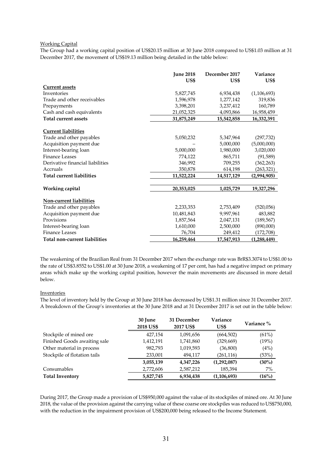## Working Capital

The Group had a working capital position of US\$20.15 million at 30 June 2018 compared to US\$1.03 million at 31 December 2017, the movement of US\$19.13 million being detailed in the table below:

|                                  | <b>June 2018</b><br>US\$ | December 2017<br>US\$ | Variance<br>US\$ |
|----------------------------------|--------------------------|-----------------------|------------------|
| <b>Current assets</b>            |                          |                       |                  |
| Inventories                      | 5,827,745                | 6,934,438             | (1, 106, 693)    |
| Trade and other receivables      | 1,596,978                | 1,277,142             | 319,836          |
| Prepayments                      | 3,398,201                | 3,237,412             | 160,789          |
| Cash and cash equivalents        | 21,052,325               | 4,093,866             | 16,958,459       |
| <b>Total current assets</b>      | 31,875,249               | 15,542,858            | 16,332,391       |
| <b>Current liabilities</b>       |                          |                       |                  |
| Trade and other payables         | 5,050,232                | 5,347,964             | (297, 732)       |
| Acquisition payment due          |                          | 5,000,000             | (5,000,000)      |
| Interest-bearing loan            | 5,000,000                | 1,980,000             | 3,020,000        |
| Finance Leases                   | 774,122                  | 865,711               | (91, 589)        |
| Derivative financial liabilities | 346,992                  | 709,255               | (362, 263)       |
| Accruals                         | 350,878                  | 614,198               | (263,321)        |
| <b>Total current liabilities</b> | 11,522,224               | 14,517,129            | (2,994,905)      |
| Working capital                  | 20,353,025               | 1,025,729             | 19,327,296       |
| <b>Non-current liabilities</b>   |                          |                       |                  |
| Trade and other payables         | 2,233,353                | 2,753,409             | (520, 056)       |
| Acquisition payment due          | 10,481,843               | 9,997,961             | 483,882          |
| Provisions                       | 1,857,564                | 2,047,131             | (189, 567)       |
| Interest-bearing loan            | 1,610,000                | 2,500,000             | (890,000)        |
| <b>Finance Leases</b>            | 76,704                   | 249,412               | (172,708)        |
| Total non-current liabilities    | 16,259,464               | 17,547,913            | (1,288,449)      |

The weakening of the Brazilian Real from 31 December 2017 when the exchange rate was BrR\$3.3074 to US\$1.00 to the rate of US\$3.8552 to US\$1.00 at 30 June 2018, a weakening of 17 per cent, has had a negative impact on primary areas which make up the working capital position, however the main movements are discussed in more detail below.

#### Inventories

The level of inventory held by the Group at 30 June 2018 has decreased by US\$1.31 million since 31 December 2017. A breakdown of the Group's inventories at the 30 June 2018 and at 31 December 2017 is set out in the table below:

|                              | 30 June<br>2018 US\$ | 31 December<br>2017 US\$ | Variance<br>US\$ | Variance % |
|------------------------------|----------------------|--------------------------|------------------|------------|
| Stockpile of mined ore       | 427,154              | 1,091,656                | (664, 502)       | (61%)      |
| Finished Goods awaiting sale | 1,412,191            | 1,741,860                | (329, 669)       | (19%)      |
| Other material in process    | 982,793              | 1,019,593                | (36, 800)        | (4%)       |
| Stockpile of flotation tails | 233,001              | 494,117                  | (261, 116)       | (53%)      |
|                              | 3,055,139            | 4,347,226                | (1,292,087)      | (30%)      |
| Consumables                  | 2,772,606            | 2,587,212                | 185,394          | 7%         |
| <b>Total Inventory</b>       | 5,827,745            | 6,934,438                | (1,106,693)      | (16%)      |

During 2017, the Group made a provision of US\$950,000 against the value of its stockpiles of mined ore. At 30 June 2018, the value of the provision against the carrying value of these coarse ore stockpiles was reduced to US\$750,000, with the reduction in the impairment provision of US\$200,000 being released to the Income Statement.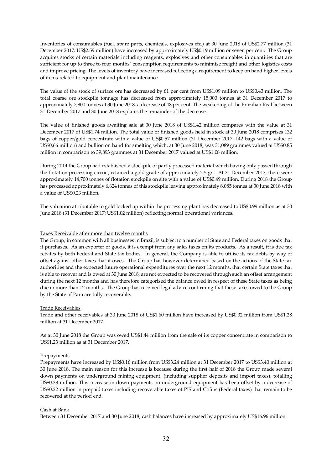Inventories of consumables (fuel, spare parts, chemicals, explosives etc.) at 30 June 2018 of US\$2.77 million (31 December 2017: US\$2.59 million) have increased by approximately US\$0.19 million or seven per cent. The Group acquires stocks of certain materials including reagents, explosives and other consumables in quantities that are sufficient for up to three to four months' consumption requirements to minimise freight and other logistics costs and improve pricing. The levels of inventory have increased reflecting a requirement to keep on hand higher levels of items related to equipment and plant maintenance.

The value of the stock of surface ore has decreased by 61 per cent from US\$1.09 million to US\$0.43 million. The total coarse ore stockpile tonnage has decreased from approximately 15,000 tonnes at 31 December 2017 to approximately 7,800 tonnes at 30 June 2018, a decrease of 48 per cent. The weakening of the Brazilian Real between 31 December 2017 and 30 June 2018 explains the remainder of the decrease.

The value of finished goods awaiting sale at 30 June 2018 of US\$1.42 million compares with the value at 31 December 2017 of US\$1.74 million. The total value of finished goods held in stock at 30 June 2018 comprises 132 bags of copper/gold concentrate with a value of US\$0.57 million (31 December 2017: 142 bags with a value of US\$0.66 million) and bullion on hand for smelting which, at 30 June 2018, was 31,089 grammes valued at US\$0.85 million in comparison to 39,893 grammes at 31 December 2017 valued at US\$1.08 million.

During 2014 the Group had established a stockpile of partly processed material which having only passed through the flotation processing circuit, retained a gold grade of approximately 2.5  $g/t$ . At 31 December 2017, there were approximately 14,700 tonnes of flotation stockpile on site with a value of US\$0.49 million. During 2018 the Group has processed approximately 6,624 tonnes of this stockpile leaving approximately 8,085 tonnes at 30 June 2018 with a value of US\$0.23 million.

The valuation attributable to gold locked up within the processing plant has decreased to US\$0.99 million as at 30 June 2018 (31 December 2017: US\$1.02 million) reflecting normal operational variances.

## Taxes Receivable after more than twelve months

The Group, in common with all businesses in Brazil, is subject to a number of State and Federal taxes on goods that it purchases. As an exporter of goods, it is exempt from any sales taxes on its products. As a result, it is due tax rebates by both Federal and State tax bodies. In general, the Company is able to utilise its tax debts by way of offset against other taxes that it owes. The Group has however determined based on the actions of the State tax authorities and the expected future operational expenditures over the next 12 months, that certain State taxes that is able to recover and is owed at 30 June 2018, are not expected to be recovered through such an offset arrangement during the next 12 months and has therefore categorised the balance owed in respect of these State taxes as being due in more than 12 months. The Group has received legal advice confirming that these taxes owed to the Group by the State of Para are fully recoverable.

#### Trade Receivables

Trade and other receivables at 30 June 2018 of US\$1.60 million have increased by US\$0.32 million from US\$1.28 million at 31 December 2017.

As at 30 June 2018 the Group was owed US\$1.44 million from the sale of its copper concentrate in comparison to US\$1.23 million as at 31 December 2017.

#### **Prepayments**

Prepayments have increased by US\$0.16 million from US\$3.24 million at 31 December 2017 to US\$3.40 million at 30 June 2018. The main reason for this increase is because during the first half of 2018 the Group made several down payments on underground mining equipment, (including supplier deposits and import taxes), totalling US\$0.38 million. This increase in down payments on underground equipment has been offset by a decrease of US\$0.22 million in prepaid taxes including recoverable taxes of PIS and Cofins (Federal taxes) that remain to be recovered at the period end.

## Cash at Bank

Between 31 December 2017 and 30 June 2018, cash balances have increased by approximately US\$16.96 million.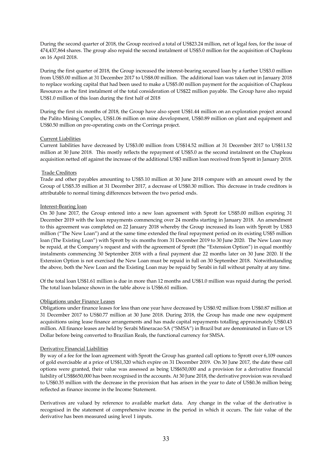During the second quarter of 2018, the Group received a total of US\$23.24 million, net of legal fees, for the issue of 474,437,864 shares. The group also repaid the second instalment of US\$5.0 million for the acquisition of Chapleau on 16 April 2018.

During the first quarter of 2018, the Group increased the interest-bearing secured loan by a further US\$3.0 million from US\$5.00 million at 31 December 2017 to US\$8.00 million. The additional loan was taken out in January 2018 to replace working capital that had been used to make a US\$5.00 million payment for the acquisition of Chapleau Resources as the first instalment of the total consideration of US\$22 million payable. The Group have also repaid US\$1.0 million of this loan during the first half of 2018

During the first six months of 2018, the Group have also spent US\$1.44 million on an exploration project around the Palito Mining Complex, US\$1.06 million on mine development, US\$0.89 million on plant and equipment and US\$0.50 million on pre-operating costs on the Corringa project.

# Current Liabilities

Current liabilities have decreased by US\$3.00 million from US\$14.52 million at 31 December 2017 to US\$11.52 million at 30 June 2018. This mostly reflects the repayment of US\$5.0 as the second instalment on the Chapleau acquisition netted off against the increase of the additional US\$3 million loan received from Sprott in January 2018.

# Trade Creditors

Trade and other payables amounting to US\$5.10 million at 30 June 2018 compare with an amount owed by the Group of US\$5.35 million at 31 December 2017, a decrease of US\$0.30 million. This decrease in trade creditors is attributable to normal timing differences between the two period ends.

# Interest-Bearing loan

On 30 June 2017, the Group entered into a new loan agreement with Sprott for US\$5.00 million expiring 31 December 2019 with the loan repayments commencing over 24 months starting in January 2018. An amendment to this agreement was completed on 22 January 2018 whereby the Group increased its loan with Sprott by US\$3 million ("The New Loan") and at the same time extended the final repayment period on its existing US\$5 million loan (The Existing Loan") with Sprott by six months from 31 December 2019 to 30 June 2020. The New Loan may be repaid, at the Company's request and with the agreement of Sprott (the "Extension Option") in equal monthly instalments commencing 30 September 2018 with a final payment due 22 months later on 30 June 2020. If the Extension Option is not exercised the New Loan must be repaid in full on 30 September 2018. Notwithstanding the above, both the New Loan and the Existing Loan may be repaid by Serabi in full without penalty at any time.

Of the total loan US\$1.61 million is due in more than 12 months and US\$1.0 million was repaid during the period. The total loan balance shown in the table above is US\$6.61 million.

# Obligations under Finance Leases

Obligations under finance leases for less than one year have decreased by US\$0.92 million from US\$0.87 million at 31 December 2017 to US\$0.77 million at 30 June 2018. During 2018, the Group has made one new equipment acquisitions using lease finance arrangements and has made capital repayments totalling approximately US\$0.43 million. All finance leases are held by Serabi Mineracao SA ("SMSA") in Brazil but are denominated in Euro or US Dollar before being converted to Brazilian Reals, the functional currency for SMSA.

# Derivative Financial Liabilities

By way of a fee for the loan agreement with Sprott the Group has granted call options to Sprott over 6,109 ounces of gold exercisable at a price of US\$1,320 which expire on 31 December 2019. On 30 June 2017, the date these call options were granted, their value was assessed as being US\$650,000 and a provision for a derivative financial liability of US\$\$650,000 has been recognised in the accounts. At 30 June 2018, the derivative provision was revalued to US\$0.35 million with the decrease in the provision that has arisen in the year to date of US\$0.36 million being reflected as finance income in the Income Statement.

Derivatives are valued by reference to available market data. Any change in the value of the derivative is recognised in the statement of comprehensive income in the period in which it occurs. The fair value of the derivative has been measured using level 1 inputs.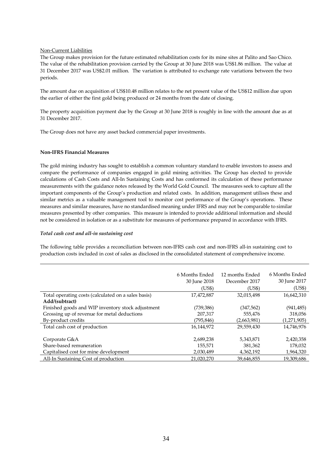# Non-Current Liabilities

The Group makes provision for the future estimated rehabilitation costs for its mine sites at Palito and Sao Chico. The value of the rehabilitation provision carried by the Group at 30 June 2018 was US\$1.86 million. The value at 31 December 2017 was US\$2.01 million. The variation is attributed to exchange rate variations between the two periods.

The amount due on acquisition of US\$10.48 million relates to the net present value of the US\$12 million due upon the earlier of either the first gold being produced or 24 months from the date of closing.

The property acquisition payment due by the Group at 30 June 2018 is roughly in line with the amount due as at 31 December 2017.

The Group does not have any asset backed commercial paper investments.

## **Non-IFRS Financial Measures**

The gold mining industry has sought to establish a common voluntary standard to enable investors to assess and compare the performance of companies engaged in gold mining activities. The Group has elected to provide calculations of Cash Costs and All-In Sustaining Costs and has conformed its calculation of these performance measurements with the guidance notes released by the World Gold Council. The measures seek to capture all the important components of the Group's production and related costs. In addition, management utilises these and similar metrics as a valuable management tool to monitor cost performance of the Group's operations. These measures and similar measures, have no standardised meaning under IFRS and may not be comparable to similar measures presented by other companies. This measure is intended to provide additional information and should not be considered in isolation or as a substitute for measures of performance prepared in accordance with IFRS.

## *Total cash cost and all-in sustaining cost*

The following table provides a reconciliation between non-IFRS cash cost and non-IFRS all-in sustaining cost to production costs included in cost of sales as disclosed in the consolidated statement of comprehensive income.

|                                                     | 6 Months Ended | 12 months Ended | 6 Months Ended |
|-----------------------------------------------------|----------------|-----------------|----------------|
|                                                     | 30 June 2018   | December 2017   | 30 June 2017   |
|                                                     | (US\$)         | (US\$)          | (US\$)         |
| Total operating costs (calculated on a sales basis) | 17,472,887     | 32,015,498      | 16,642,310     |
| Add/(subtract)                                      |                |                 |                |
| Finished goods and WIP inventory stock adjustment   | (739, 386)     | (347, 562)      | (941, 485)     |
| Grossing up of revenue for metal deductions         | 207,317        | 555,476         | 318,056        |
| By-product credits                                  | (795,846)      | (2,663,981)     | (1,271,905)    |
| Total cash cost of production                       | 16,144,972     | 29,559,430      | 14,746,976     |
|                                                     |                |                 |                |
| Corporate G&A                                       | 2,689,238      | 5,343,871       | 2,420,358      |
| Share-based remuneration                            | 155,571        | 381.362         | 178,032        |
| Capitalised cost for mine development               | 2,030,489      | 4,362,192       | 1,964,320      |
| All-In Sustaining Cost of production                | 21.020.270     | 39,646,855      | 19,309,686     |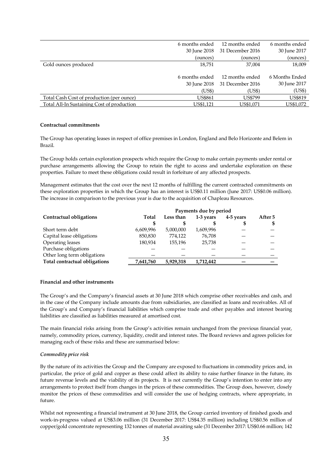|                                            | 6 months ended | 12 months ended  | 6 months ended |
|--------------------------------------------|----------------|------------------|----------------|
|                                            | 30 June 2018   | 31 December 2016 | 30 June 2017   |
|                                            | (ounces)       | (ounces)         | (ounces)       |
| Gold ounces produced                       | 18,751         | 37,004           | 18,009         |
|                                            |                |                  |                |
|                                            | 6 months ended | 12 months ended  | 6 Months Ended |
|                                            | 30 June 2018   | 31 December 2016 | 30 June 2017   |
|                                            | (US\$)         | (US\$)           | (US\$)         |
| Total Cash Cost of production (per ounce)  | <b>US\$861</b> | <b>US\$799</b>   | <b>US\$819</b> |
| Total All-In Sustaining Cost of production | US\$1,121      | US\$1,071        | US\$1,072      |

#### **Contractual commitments**

The Group has operating leases in respect of office premises in London, England and Belo Horizonte and Belem in Brazil.

The Group holds certain exploration prospects which require the Group to make certain payments under rental or purchase arrangements allowing the Group to retain the right to access and undertake exploration on these properties. Failure to meet these obligations could result in forfeiture of any affected prospects.

Management estimates that the cost over the next 12 months of fulfilling the current contracted commitments on these exploration properties in which the Group has an interest is US\$0.11 million (June 2017: US\$0.06 million). The increase in comparison to the previous year is due to the acquisition of Chapleau Resources.

|                               | Payments due by period |           |           |           |         |
|-------------------------------|------------------------|-----------|-----------|-----------|---------|
| Contractual obligations       | Total                  | Less than | 1-3 years | 4-5 years | After 5 |
|                               | S                      |           |           | \$        | \$      |
| Short term debt               | 6,609,996              | 5,000,000 | 1,609,996 |           |         |
| Capital lease obligations     | 850,830                | 774,122   | 76.708    |           |         |
| Operating leases              | 180,934                | 155,196   | 25.738    |           |         |
| Purchase obligations          |                        |           |           |           |         |
| Other long term obligations   |                        |           |           |           |         |
| Total contractual obligations | 7,641,760              | 5,929,318 | 1,712,442 |           |         |

## **Financial and other instruments**

The Group's and the Company's financial assets at 30 June 2018 which comprise other receivables and cash, and in the case of the Company include amounts due from subsidiaries, are classified as loans and receivables. All of the Group's and Company's financial liabilities which comprise trade and other payables and interest bearing liabilities are classified as liabilities measured at amortised cost.

The main financial risks arising from the Group's activities remain unchanged from the previous financial year, namely, commodity prices, currency, liquidity, credit and interest rates. The Board reviews and agrees policies for managing each of these risks and these are summarised below:

#### *Commodity price risk*

By the nature of its activities the Group and the Company are exposed to fluctuations in commodity prices and, in particular, the price of gold and copper as these could affect its ability to raise further finance in the future, its future revenue levels and the viability of its projects. It is not currently the Group's intention to enter into any arrangements to protect itself from changes in the prices of these commodities. The Group does, however, closely monitor the prices of these commodities and will consider the use of hedging contracts, where appropriate, in future.

Whilst not representing a financial instrument at 30 June 2018, the Group carried inventory of finished goods and work-in-progress valued at US\$3.06 million (31 December 2017: US\$4.35 million) including US\$0.56 million of copper/gold concentrate representing 132 tonnes of material awaiting sale (31 December 2017: US\$0.66 million; 142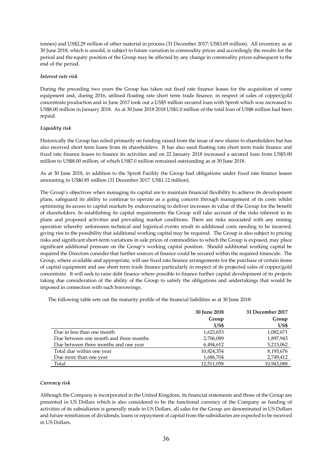tonnes) and US\$2.29 million of other material in process (31 December 2017: US\$3.69 million). All inventory as at 30 June 2018, which is unsold, is subject to future variation in commodity prices and accordingly the results for the period and the equity position of the Group may be affected by any change in commodity prices subsequent to the end of the period.

## *Interest rate risk*

During the preceding two years the Group has taken out fixed rate finance leases for the acquisition of some equipment and, during 2016, utilised floating rate short term trade finance, in respect of sales of copper/gold concentrate production and in June 2017 took out a US\$5 million secured loan with Sprott which was increased to US\$8.00 million in January 2018. As at 30 June 2018 2018 US\$1.0 million of the total loan of US\$8 million had been repaid.

# *Liquidity risk*

Historically the Group has relied primarily on funding raised from the issue of new shares to shareholders but has also received short term loans from its shareholders. It has also used floating rate short term trade finance and fixed rate finance leases to finance its activities and on 22 January 2018 increased a secured loan from US\$5.00 million to US\$8.00 million, of which US\$7.0 million remained outstanding as at 30 June 2018.

As at 30 June 2018, in addition to the Sprott Facility the Group had obligations under fixed rate finance leases amounting to US\$0.85 million (31 December 2017: US\$1.12 million).

The Group's objectives when managing its capital are to maintain financial flexibility to achieve its development plans, safeguard its ability to continue to operate as a going concern through management of its costs whilst optimising its access to capital markets by endeavouring to deliver increases in value of the Group for the benefit of shareholders. In establishing its capital requirements the Group will take account of the risks inherent in its plans and proposed activities and prevailing market conditions. There are risks associated with any mining operation whereby unforeseen technical and logistical events result in additional costs needing to be incurred, giving rise to the possibility that additional working capital may be required. The Group is also subject to pricing risks and significant short-term variations in sale prices of commodities to which the Group is exposed, may place significant additional pressure on the Group's working capital position. Should additional working capital be required the Directors consider that further sources of finance could be secured within the required timescale. The Group, where available and appropriate, will use fixed rate finance arrangements for the purchase of certain items of capital equipment and use short term trade finance particularly in respect of its projected sales of copper/gold concentrate. It will seek to raise debt finance where possible to finance further capital development of its projects taking due consideration of the ability of the Group to satisfy the obligations and undertakings that would be imposed in connection with such borrowings.

The following table sets out the maturity profile of the financial liabilities as at 30 June 2018:

|                                        | 30 June 2018 | 31 December 2017 |
|----------------------------------------|--------------|------------------|
|                                        | Group        | Group            |
|                                        | US\$         | US\$             |
| Due in less than one month             | 1,623,653    | 1,082,671        |
| Due between one month and three months | 2,706,089    | 1,897,943        |
| Due between three months and one year  | 6,494,612    | 5,213,062        |
| Total due within one year              | 10,824,354   | 8,193,676        |
| Due more than one year                 | 1,686,704    | 2,749,412        |
| Total                                  | 12,511,058   | 10,943,088       |

# *Currency risk*

Although the Company is incorporated in the United Kingdom, its financial statements and those of the Group are presented in US Dollars which is also considered to be the functional currency of the Company as funding of activities of its subsidiaries is generally made in US Dollars, all sales for the Group are denominated in US Dollars and future remittances of dividends, loans or repayment of capital from the subsidiaries are expected to be received in US Dollars.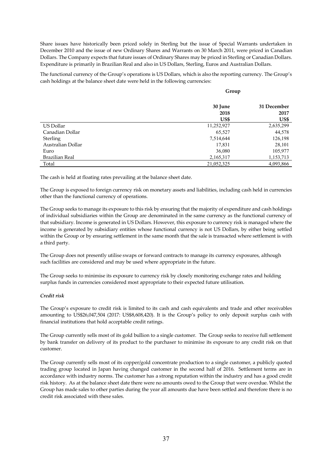Share issues have historically been priced solely in Sterling but the issue of Special Warrants undertaken in December 2010 and the issue of new Ordinary Shares and Warrants on 30 March 2011, were priced in Canadian Dollars. The Company expects that future issues of Ordinary Shares may be priced in Sterling or Canadian Dollars. Expenditure is primarily in Brazilian Real and also in US Dollars, Sterling, Euros and Australian Dollars.

The functional currency of the Group's operations is US Dollars, which is also the reporting currency. The Group's cash holdings at the balance sheet date were held in the following currencies:

**Group**

|                   | 30 June    | 31 December |
|-------------------|------------|-------------|
|                   | 2018       | 2017        |
|                   | US\$       | US\$        |
| US Dollar         | 11,252,927 | 2,635,299   |
| Canadian Dollar   | 65,527     | 44,578      |
| <b>Sterling</b>   | 7,514,644  | 126,198     |
| Australian Dollar | 17,831     | 28,101      |
| Euro              | 36,080     | 105,977     |
| Brazilian Real    | 2,165,317  | 1,153,713   |
| Total             | 21,052,325 | 4,093,866   |

The cash is held at floating rates prevailing at the balance sheet date.

The Group is exposed to foreign currency risk on monetary assets and liabilities, including cash held in currencies other than the functional currency of operations.

The Group seeks to manage its exposure to this risk by ensuring that the majority of expenditure and cash holdings of individual subsidiaries within the Group are denominated in the same currency as the functional currency of that subsidiary. Income is generated in US Dollars. However, this exposure to currency risk is managed where the income is generated by subsidiary entities whose functional currency is not US Dollars, by either being settled within the Group or by ensuring settlement in the same month that the sale is transacted where settlement is with a third party.

The Group does not presently utilise swaps or forward contracts to manage its currency exposures, although such facilities are considered and may be used where appropriate in the future.

The Group seeks to minimise its exposure to currency risk by closely monitoring exchange rates and holding surplus funds in currencies considered most appropriate to their expected future utilisation.

# *Credit risk*

The Group's exposure to credit risk is limited to its cash and cash equivalents and trade and other receivables amounting to US\$26,047,504 (2017: US\$8,608,420). It is the Group's policy to only deposit surplus cash with financial institutions that hold acceptable credit ratings.

The Group currently sells most of its gold bullion to a single customer. The Group seeks to receive full settlement by bank transfer on delivery of its product to the purchaser to minimise its exposure to any credit risk on that customer.

The Group currently sells most of its copper/gold concentrate production to a single customer, a publicly quoted trading group located in Japan having changed customer in the second half of 2016. Settlement terms are in accordance with industry norms. The customer has a strong reputation within the industry and has a good credit risk history. As at the balance sheet date there were no amounts owed to the Group that were overdue. Whilst the Group has made sales to other parties during the year all amounts due have been settled and therefore there is no credit risk associated with these sales.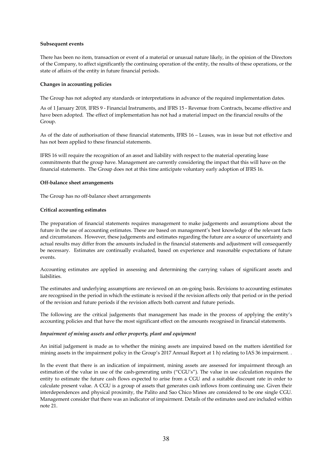## **Subsequent events**

There has been no item, transaction or event of a material or unusual nature likely, in the opinion of the Directors of the Company, to affect significantly the continuing operation of the entity, the results of these operations, or the state of affairs of the entity in future financial periods.

## **Changes in accounting policies**

The Group has not adopted any standards or interpretations in advance of the required implementation dates.

As of 1 January 2018, lFRS 9 - Financial Instruments, and lFRS 15 - Revenue from Contracts, became effective and have been adopted. The effect of implementation has not had a material impact on the financial results of the Group.

As of the date of authorisation of these financial statements, IFRS 16 – Leases, was in issue but not effective and has not been applied to these financial statements.

IFRS 16 will require the recognition of an asset and liability with respect to the material operating lease commitments that the group have. Management are currently considering the impact that this will have on the financial statements. The Group does not at this time anticipate voluntary early adoption of IFRS 16.

## **Off-balance sheet arrangements**

The Group has no off-balance sheet arrangements

## **Critical accounting estimates**

The preparation of financial statements requires management to make judgements and assumptions about the future in the use of accounting estimates. These are based on management's best knowledge of the relevant facts and circumstances. However, these judgements and estimates regarding the future are a source of uncertainty and actual results may differ from the amounts included in the financial statements and adjustment will consequently be necessary. Estimates are continually evaluated, based on experience and reasonable expectations of future events.

Accounting estimates are applied in assessing and determining the carrying values of significant assets and liabilities.

The estimates and underlying assumptions are reviewed on an on-going basis. Revisions to accounting estimates are recognised in the period in which the estimate is revised if the revision affects only that period or in the period of the revision and future periods if the revision affects both current and future periods.

The following are the critical judgements that management has made in the process of applying the entity's accounting policies and that have the most significant effect on the amounts recognised in financial statements.

#### *Impairment of mining assets and other property, plant and equipment*

An initial judgement is made as to whether the mining assets are impaired based on the matters identified for mining assets in the impairment policy in the Group's 2017 Annual Report at 1 h) relating to IAS 36 impairment. .

In the event that there is an indication of impairment, mining assets are assessed for impairment through an estimation of the value in use of the cash-generating units ("CGU's"). The value in use calculation requires the entity to estimate the future cash flows expected to arise from a CGU and a suitable discount rate in order to calculate present value. A CGU is a group of assets that generates cash inflows from continuing use. Given their interdependences and physical proximity, the Palito and Sao Chico Mines are considered to be one single CGU. Management consider that there was an indicator of impairment. Details of the estimates used are included within note 21.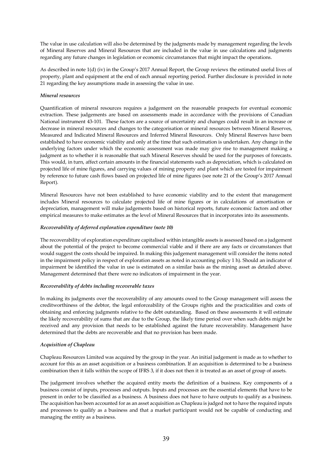The value in use calculation will also be determined by the judgments made by management regarding the levels of Mineral Reserves and Mineral Resources that are included in the value in use calculations and judgments regarding any future changes in legislation or economic circumstances that might impact the operations.

As described in note 1(d) (iv) in the Group's 2017 Annual Report, the Group reviews the estimated useful lives of property, plant and equipment at the end of each annual reporting period. Further disclosure is provided in note 21 regarding the key assumptions made in assessing the value in use.

# *Mineral resources*

Quantification of mineral resources requires a judgement on the reasonable prospects for eventual economic extraction. These judgements are based on assessments made in accordance with the provisions of Canadian National instrument 43-101. These factors are a source of uncertainty and changes could result in an increase or decrease in mineral resources and changes to the categorisation or mineral resources between Mineral Reserves, Measured and Indicated Mineral Resources and Inferred Mineral Resources. Only Mineral Reserves have been established to have economic viability and only at the time that such estimation is undertaken. Any change in the underlying factors under which the economic assessment was made may give rise to management making a judgment as to whether it is reasonable that such Mineral Reserves should be used for the purposes of forecasts. This would, in turn, affect certain amounts in the financial statements such as depreciation, which is calculated on projected life of mine figures, and carrying values of mining property and plant which are tested for impairment by reference to future cash flows based on projected life of mine figures (see note 21 of the Group's 2017 Annual Report).

Mineral Resources have not been established to have economic viability and to the extent that management includes Mineral resources to calculate projected life of mine figures or in calculations of amortisation or depreciation, management will make judgements based on historical reports, future economic factors and other empirical measures to make estimates as the level of Mineral Resources that in incorporates into its assessments.

## *Recoverability of deferred exploration expenditure (note 10)*

The recoverability of exploration expenditure capitalised within intangible assets is assessed based on a judgement about the potential of the project to become commercial viable and if there are any facts or circumstances that would suggest the costs should be impaired. In making this judgement management will consider the items noted in the impairment policy in respect of exploration assets as noted in accounting policy 1 h). Should an indicator of impairment be identified the value in use is estimated on a similar basis as the mining asset as detailed above. Management determined that there were no indicators of impairment in the year.

#### *Recoverability of debts including recoverable taxes*

In making its judgments over the recoverability of any amounts owed to the Group management will assess the creditworthiness of the debtor, the legal enforceability of the Groups rights and the practicalities and costs of obtaining and enforcing judgments relative to the debt outstanding. Based on these assessments it will estimate the likely recoverability of sums that are due to the Group, the likely time period over when such debts might be received and any provision that needs to be established against the future recoverability. Management have determined that the debts are recoverable and that no provision has been made.

#### *Acquisition of Chapleau*

Chapleau Resources Limited was acquired by the group in the year. An initial judgement is made as to whether to account for this as an asset acquisition or a business combination. If an acquisition is determined to be a business combination then it falls within the scope of IFRS 3, if it does not then it is treated as an asset of group of assets.

The judgement involves whether the acquired entity meets the definition of a business. Key components of a business consist of inputs, processes and outputs. Inputs and processes are the essential elements that have to be present in order to be classified as a business. A business does not have to have outputs to qualify as a business. The acquisition has been accounted for as an asset acquisition as Chapleau is judged not to have the required inputs and processes to qualify as a business and that a market participant would not be capable of conducting and managing the entity as a business.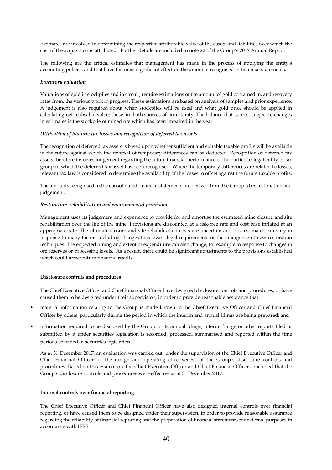Estimates are involved in determining the respective attributable value of the assets and liabilities over which the cost of the acquisition is attributed. Further details are included in note 22 of the Group's 2017 Annual Report.

The following are the critical estimates that management has made in the process of applying the entity's accounting policies and that have the most significant effect on the amounts recognised in financial statements.

## *Inventory valuation*

Valuations of gold in stockpiles and in circuit, require estimations of the amount of gold contained in, and recovery rates from, the various work in progress. These estimations are based on analysis of samples and prior experience. A judgement is also required about when stockpiles will be used and what gold price should be applied in calculating net realisable value; these are both sources of uncertainty. The balance that is most subject to changes in estimates is the stockpile of mined ore which has been impaired in the year.

#### *Utilisation of historic tax losses and recognition of deferred tax assets*

The recognition of deferred tax assets is based upon whether sufficient and suitable taxable profits will be available in the future against which the reversal of temporary differences can be deducted. Recognition of deferred tax assets therefore involves judgement regarding the future financial performance of the particular legal entity or tax group in which the deferred tax asset has been recognised. Where the temporary differences are related to losses, relevant tax law is considered to determine the availability of the losses to offset against the future taxable profits.

The amounts recognised in the consolidated financial statements are derived from the Group's best estimation and judgement.

#### *Restoration, rehabilitation and environmental provisions*

Management uses its judgement and experience to provide for and amortise the estimated mine closure and site rehabilitation over the life of the mine. Provisions are discounted at a risk-free rate and cost base inflated at an appropriate rate. The ultimate closure and site rehabilitation costs are uncertain and cost estimates can vary in response to many factors including changes to relevant legal requirements or the emergence of new restoration techniques. The expected timing and extent of expenditure can also change, for example in response to changes in ore reserves or processing levels. As a result, there could be significant adjustments to the provisions established which could affect future financial results.

#### **Disclosure controls and procedures**

The Chief Executive Officer and Chief Financial Officer have designed disclosure controls and procedures, or have caused them to be designed under their supervision, in order to provide reasonable assurance that:

- material information relating to the Group is made known to the Chief Executive Officer and Chief Financial Officer by others, particularly during the period in which the interim and annual filings are being prepared; and
- information required to be disclosed by the Group in its annual filings, interim filings or other reports filed or submitted by it under securities legislation is recorded, processed, summarised and reported within the time periods specified in securities legislation.

As at 31 December 2017, an evaluation was carried out, under the supervision of the Chief Executive Officer and Chief Financial Officer, of the design and operating effectiveness of the Group's disclosure controls and procedures. Based on this evaluation, the Chief Executive Officer and Chief Financial Officer concluded that the Group's disclosure controls and procedures were effective as at 31 December 2017.

#### **Internal controls over financial reporting**

The Chief Executive Officer and Chief Financial Officer have also designed internal controls over financial reporting, or have caused them to be designed under their supervision, in order to provide reasonable assurance regarding the reliability of financial reporting and the preparation of financial statements for external purposes in accordance with IFRS.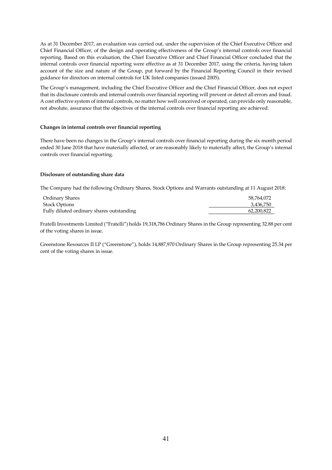As at 31 December 2017, an evaluation was carried out, under the supervision of the Chief Executive Officer and Chief Financial Officer, of the design and operating effectiveness of the Group's internal controls over financial reporting. Based on this evaluation, the Chief Executive Officer and Chief Financial Officer concluded that the internal controls over financial reporting were effective as at 31 December 2017, using the criteria, having taken account of the size and nature of the Group, put forward by the Financial Reporting Council in their revised guidance for directors on internal controls for UK listed companies (issued 2005).

The Group's management, including the Chief Executive Officer and the Chief Financial Officer, does not expect that its disclosure controls and internal controls over financial reporting will prevent or detect all errors and fraud. A cost effective system of internal controls, no matter how well conceived or operated, can provide only reasonable, not absolute, assurance that the objectives of the internal controls over financial reporting are achieved.

## **Changes in internal controls over financial reporting**

There have been no changes in the Group's internal controls over financial reporting during the six month period ended 30 June 2018 that have materially affected, or are reasonably likely to materially affect, the Group's internal controls over financial reporting.

#### **Disclosure of outstanding share data**

The Company had the following Ordinary Shares, Stock Options and Warrants outstanding at 11 August 2018:

| Ordinary Shares                           | 58.764.072 |
|-------------------------------------------|------------|
| <b>Stock Options</b>                      | 3,436,750  |
| Fully diluted ordinary shares outstanding | 62.200.822 |

Fratelli Investments Limited ("Fratelli") holds 19,318,786 Ordinary Shares in the Group representing 32.88 per cent of the voting shares in issue.

Greenstone Resources II LP ("Greenstone"), holds 14,887,970 Ordinary Shares in the Group representing 25.34 per cent of the voting shares in issue.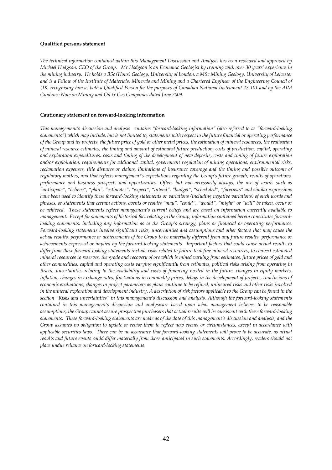#### **Qualified persons statement**

*The technical information contained within this Management Discussion and Analysis has been reviewed and approved by Michael Hodgson, CEO of the Group. Mr Hodgson is an Economic Geologist by training with over 30 years' experience in the mining industry. He holds a BSc (Hons) Geology, University of London, a MSc Mining Geology, University of Leicester and is a Fellow of the Institute of Materials, Minerals and Mining and a Chartered Engineer of the Engineering Council of UK, recognising him as both a Qualified Person for the purposes of Canadian National Instrument 43-101 and by the AIM Guidance Note on Mining and Oil & Gas Companies dated June 2009.* 

#### **Cautionary statement on forward-looking information**

*This management's discussion and analysis contains "forward-looking information" (also referred to as "forward-looking statements") which may include, but is not limited to, statements with respect to the future financial or operating performance of the Group and its projects, the future price of gold or other metal prices, the estimation of mineral resources, the realisation of mineral resource estimates, the timing and amount of estimated future production, costs of production, capital, operating and exploration expenditures, costs and timing of the development of new deposits, costs and timing of future exploration and/or exploitation, requirements for additional capital, government regulation of mining operations, environmental risks, reclamation expenses, title disputes or claims, limitations of insurance coverage and the timing and possible outcome of regulatory matters, and that reflects management's expectations regarding the Group's future growth, results of operations, performance and business prospects and opportunities. Often, but not necessarily always, the use of words such as "anticipate", "believe", "plan", "estimates", "expect", "intend", "budget", "scheduled", "forecasts" and similar expressions have been used to identify these forward-looking statements or variations (including negative variations) of such words and phrases, or statements that certain actions, events or results "may", "could", "would", "might" or "will" be taken, occur or be achieved. These statements reflect management's current beliefs and are based on information currently available to management. Except for statements of historical fact relating to the Group, information contained herein constitutes forwardlooking statements, including any information as to the Group's strategy, plans or financial or operating performance. Forward-looking statements involve significant risks, uncertainties and assumptions and other factors that may cause the actual results, performance or achievements of the Group to be materially different from any future results, performance or achievements expressed or implied by the forward-looking statements. Important factors that could cause actual results to differ from these forward-looking statements include risks related to failure to define mineral resources, to convert estimated mineral resources to reserves, the grade and recovery of ore which is mined varying from estimates, future prices of gold and other commodities, capital and operating costs varying significantly from estimates, political risks arising from operating in Brazil, uncertainties relating to the availability and costs of financing needed in the future, changes in equity markets, inflation, changes in exchange rates, fluctuations in commodity prices, delays in the development of projects, conclusions of economic evaluations, changes in project parameters as plans continue to be refined, uninsured risks and other risks involved in the mineral exploration and development industry. A description of risk factors applicable to the Group can be found in the section "Risks and uncertainties" in this management's discussion and analysis. Although the forward-looking statements contained in this management's discussion and analysisare based upon what management believes to be reasonable assumptions, the Group cannot assure prospective purchasers that actual results will be consistent with these forward-looking statements. These forward-looking statements are made as of the date of this management's discussion and analysis, and the Group assumes no obligation to update or revise them to reflect new events or circumstances, except in accordance with applicable securities laws. There can be no assurance that forward-looking statements will prove to be accurate, as actual results and future events could differ materially from those anticipated in such statements. Accordingly, readers should not place undue reliance on forward-looking statements.*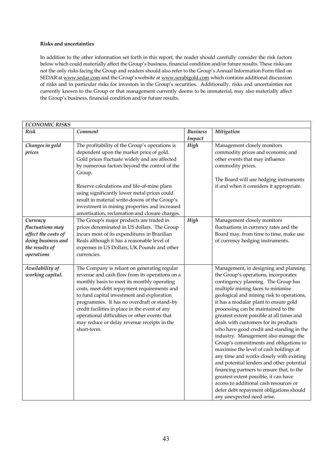# **Risks and uncertainties**

In addition to the other information set forth in this report, the reader should carefully consider the risk factors below which could materially affect the Group's business, financial condition and/or future results. These risks are not the only risks facing the Group and readers should also refer to the Group's Annual Information Form filed on SEDAR at www.sedar.com and the Group's website at www.serabigold.com which contains additional discussion of risks and in particular risks for investors in the Group's securities. Additionally, risks and uncertainties not currently known to the Group or that management currently deems to be immaterial, may also materially affect the Group's business, financial condition and/or future results.

| <b>ECONOMIC RISKS</b>                                                                                     |                                                                                                                                                                                                                                                                                                                                                                                                                                                            |                           |                                                                                                                                                                                                                                                                                                                                                                                                                                                                                                                                                                                                                                                                                                                                                                                                                                                        |  |
|-----------------------------------------------------------------------------------------------------------|------------------------------------------------------------------------------------------------------------------------------------------------------------------------------------------------------------------------------------------------------------------------------------------------------------------------------------------------------------------------------------------------------------------------------------------------------------|---------------------------|--------------------------------------------------------------------------------------------------------------------------------------------------------------------------------------------------------------------------------------------------------------------------------------------------------------------------------------------------------------------------------------------------------------------------------------------------------------------------------------------------------------------------------------------------------------------------------------------------------------------------------------------------------------------------------------------------------------------------------------------------------------------------------------------------------------------------------------------------------|--|
| <b>Risk</b>                                                                                               | Comment                                                                                                                                                                                                                                                                                                                                                                                                                                                    | <b>Business</b><br>Impact | Mitigation                                                                                                                                                                                                                                                                                                                                                                                                                                                                                                                                                                                                                                                                                                                                                                                                                                             |  |
| Changes in gold<br>prices                                                                                 | The profitability of the Group's operations is<br>dependent upon the market price of gold.<br>Gold prices fluctuate widely and are affected<br>by numerous factors beyond the control of the<br>Group.<br>Reserve calculations and life-of-mine plans<br>using significantly lower metal prices could<br>result in material write-downs of the Group's<br>investment in mining properties and increased<br>amortisation, reclamation and closure charges.  | High                      | Management closely monitors<br>commodity prices and economic and<br>other events that may influence<br>commodity prices.<br>The Board will use hedging instruments<br>if and when it considers it appropriate.                                                                                                                                                                                                                                                                                                                                                                                                                                                                                                                                                                                                                                         |  |
| Currency<br>fluctuations may<br>affect the costs of<br>doing business and<br>the results of<br>operations | The Group's major products are traded in<br>prices denominated in US dollars. The Group<br>incurs most of its expenditures in Brazilian<br>Reals although it has a reasonable level of<br>expenses in US Dollars, UK Pounds and other<br>currencies.                                                                                                                                                                                                       | High                      | Management closely monitors<br>fluctuations in currency rates and the<br>Board may, from time to time, make use<br>of currency hedging instruments.                                                                                                                                                                                                                                                                                                                                                                                                                                                                                                                                                                                                                                                                                                    |  |
| Availability of<br>working capital.                                                                       | The Company is reliant on generating regular<br>revenue and cash flow from its operations on a<br>monthly basis to meet its monthly operating<br>costs, meet debt repayment requirements and<br>to fund capital investment and exploration<br>programmes. It has no overdraft or stand-by<br>credit facilities in place in the event of any<br>operational difficulties or other events that<br>may reduce or delay revenue receipts in the<br>short-term. |                           | Management, in designing and planning<br>the Group's operations, incorporates<br>contingency planning. The Group has<br>multiple mining faces to minimise<br>geological and mining risk to operations,<br>it has a modular plant to ensure gold<br>processing can be maintained to the<br>greatest extent possible at all times and<br>deals with customers for its products<br>who have good credit and standing in the<br>industry. Management also manage the<br>Group's commitments and obligations to<br>maximise the level of cash holdings at<br>any time and works closely with existing<br>and potential lenders and other potential<br>financing partners to ensure that, to the<br>greatest extent possible, it can have<br>access to additional cash resources or<br>defer debt repayment obligations should<br>any unexpected need arise. |  |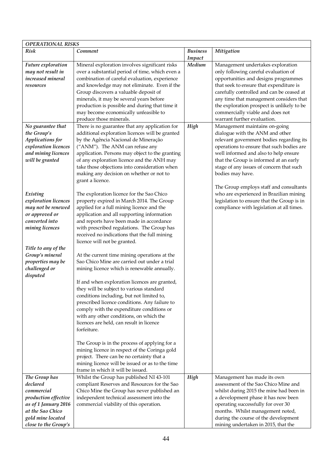| <b>OPERATIONAL RISKS</b>                                                                                                                                 |                                                                                                                                                                                                                                                                                                                                                                                                |                           |                                                                                                                                                                                                                                                                                                                                                         |  |  |
|----------------------------------------------------------------------------------------------------------------------------------------------------------|------------------------------------------------------------------------------------------------------------------------------------------------------------------------------------------------------------------------------------------------------------------------------------------------------------------------------------------------------------------------------------------------|---------------------------|---------------------------------------------------------------------------------------------------------------------------------------------------------------------------------------------------------------------------------------------------------------------------------------------------------------------------------------------------------|--|--|
| Risk                                                                                                                                                     | Comment                                                                                                                                                                                                                                                                                                                                                                                        | <b>Business</b><br>Impact | Mitigation                                                                                                                                                                                                                                                                                                                                              |  |  |
| <b>Future exploration</b><br>may not result in<br>increased mineral<br>resources                                                                         | Mineral exploration involves significant risks<br>over a substantial period of time, which even a<br>combination of careful evaluation, experience<br>and knowledge may not eliminate. Even if the                                                                                                                                                                                             | Medium                    | Management undertakes exploration<br>only following careful evaluation of<br>opportunities and designs programmes<br>that seek to ensure that expenditure is                                                                                                                                                                                            |  |  |
|                                                                                                                                                          | Group discovers a valuable deposit of<br>minerals, it may be several years before<br>production is possible and during that time it<br>may become economically unfeasible to<br>produce those minerals.                                                                                                                                                                                        |                           | carefully controlled and can be ceased at<br>any time that management considers that<br>the exploration prospect is unlikely to be<br>commercially viable and does not<br>warrant further evaluation.                                                                                                                                                   |  |  |
| No guarantee that<br>the Group's<br>Applications for<br>exploration licences<br>and mining licences<br>will be granted                                   | There is no guarantee that any application for<br>additional exploration licences will be granted<br>by the Agência Nacional de Mineração<br>("ANM"). The ANM can refuse any<br>application. Persons may object to the granting<br>of any exploration licence and the ANH may<br>take those objections into consideration when<br>making any decision on whether or not to<br>grant a licence. | High                      | Management maintains on-going<br>dialogue with the ANM and other<br>relevant government bodies regarding its<br>operations to ensure that such bodies are<br>well informed and also to help ensure<br>that the Group is informed at an early<br>stage of any issues of concern that such<br>bodies may have.<br>The Group employs staff and consultants |  |  |
| Existing<br>exploration licences<br>may not be renewed<br>or approved or<br>converted into<br>mining licences                                            | The exploration licence for the Sao Chico<br>property expired in March 2014. The Group<br>applied for a full mining licence and the<br>application and all supporting information<br>and reports have been made in accordance<br>with prescribed regulations. The Group has<br>received no indications that the full mining<br>licence will not be granted.                                    |                           | who are experienced in Brazilian mining<br>legislation to ensure that the Group is in<br>compliance with legislation at all times.                                                                                                                                                                                                                      |  |  |
| Title to any of the<br>Group's mineral<br>properties may be<br>challenged or<br>disputed                                                                 | At the current time mining operations at the<br>Sao Chico Mine are carried out under a trial<br>mining licence which is renewable annually.                                                                                                                                                                                                                                                    |                           |                                                                                                                                                                                                                                                                                                                                                         |  |  |
|                                                                                                                                                          | If and when exploration licences are granted,<br>they will be subject to various standard<br>conditions including, but not limited to,<br>prescribed licence conditions. Any failure to<br>comply with the expenditure conditions or<br>with any other conditions, on which the<br>licences are held, can result in licence<br>forfeiture.                                                     |                           |                                                                                                                                                                                                                                                                                                                                                         |  |  |
|                                                                                                                                                          | The Group is in the process of applying for a<br>mining licence in respect of the Coringa gold<br>project. There can be no certainty that a<br>mining licence will be issued or as to the time<br>frame in which it will be issued.                                                                                                                                                            |                           |                                                                                                                                                                                                                                                                                                                                                         |  |  |
| The Group has<br>declared<br>commercial<br>production effective<br>as of 1 January 2016<br>at the Sao Chico<br>gold mine located<br>close to the Group's | Whilst the Group has published NI 43-101<br>compliant Reserves and Resources for the Sao<br>Chico Mine the Group has never published an<br>independent technical assessment into the<br>commercial viability of this operation.                                                                                                                                                                | High                      | Management has made its own<br>assessment of the Sao Chico Mine and<br>whilst during 2015 the mine had been in<br>a development phase it has now been<br>operating successfully for over 30<br>months. Whilst management noted,<br>during the course of the development<br>mining undertaken in 2015, that the                                          |  |  |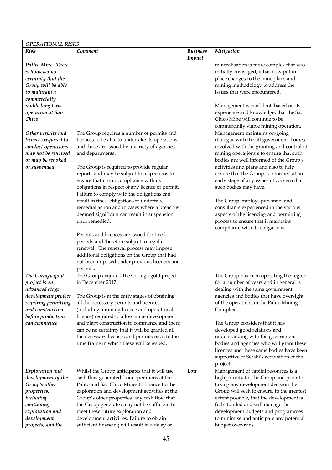| <b>OPERATIONAL RISKS</b>                                                                                                                                          |                                                                                                                                                                                                                                                                                                                                                                                                                                                                                                                                                                                                                                                                                                                                                                                                                               |                           |                                                                                                                                                                                                                                                                                                                                                                                                                                                                                                                                                                          |  |  |
|-------------------------------------------------------------------------------------------------------------------------------------------------------------------|-------------------------------------------------------------------------------------------------------------------------------------------------------------------------------------------------------------------------------------------------------------------------------------------------------------------------------------------------------------------------------------------------------------------------------------------------------------------------------------------------------------------------------------------------------------------------------------------------------------------------------------------------------------------------------------------------------------------------------------------------------------------------------------------------------------------------------|---------------------------|--------------------------------------------------------------------------------------------------------------------------------------------------------------------------------------------------------------------------------------------------------------------------------------------------------------------------------------------------------------------------------------------------------------------------------------------------------------------------------------------------------------------------------------------------------------------------|--|--|
| <b>Risk</b>                                                                                                                                                       | Comment                                                                                                                                                                                                                                                                                                                                                                                                                                                                                                                                                                                                                                                                                                                                                                                                                       | <b>Business</b><br>Impact | Mitigation                                                                                                                                                                                                                                                                                                                                                                                                                                                                                                                                                               |  |  |
| Palito Mine. There<br>is however no<br>certainty that the<br>Group will be able<br>to maintain a<br>commercially<br>viable long term<br>operation at Sao<br>Chico |                                                                                                                                                                                                                                                                                                                                                                                                                                                                                                                                                                                                                                                                                                                                                                                                                               |                           | mineralisation is more complex that was<br>initially envisaged, it has now put in<br>place changes to the mine plans and<br>mining methodology to address the<br>issues that were encountered.<br>Management is confident, based on its<br>experience and knowledge, that the Sao<br>Chico Mine will continue to be<br>commercially viable mining operation.                                                                                                                                                                                                             |  |  |
| Other permits and<br>licences required to<br>conduct operations<br>may not be renewed<br>or may be revoked<br>or suspended                                        | The Group requires a number of permits and<br>licences to be able to undertake its operations<br>and these are issued by a variety of agencies<br>and departments.<br>The Group is required to provide regular<br>reports and may be subject to inspections to<br>ensure that it is in compliance with its<br>obligations in respect of any licence or permit.<br>Failure to comply with the obligations can<br>result in fines, obligations to undertake<br>remedial action and in cases where a breach is<br>deemed significant can result in suspension<br>until remedied.<br>Permits and licences are issued for fixed<br>periods and therefore subject to regular<br>renewal. The renewal process may impose<br>additional obligations on the Group that had<br>not been imposed under previous licences and<br>permits. |                           | Management maintains on-going<br>dialogue with the all government bodies<br>involved with the granting and control of<br>mining operations s to ensure that such<br>bodies are well informed of the Group's<br>activities and plans and also to help<br>ensure that the Group is informed at an<br>early stage of any issues of concern that<br>such bodies may have.<br>The Group employs personnel and<br>consultants experienced in the various<br>aspects of the licencing and permitting<br>process to ensure that it maintains<br>compliance with its obligations. |  |  |
| The Coringa gold<br>project is an<br>advanced stage<br>development project<br>requiring permitting<br>and construction<br>before production<br>can commence       | The Group acquired the Coringa gold project<br>in December 2017.<br>The Group is at the early stages of obtaining<br>all the necessary permits and licences<br>(including a mining licence and operational<br>licence) required to allow mine development<br>and plant construction to commence and there<br>can be no certainty that it will be granted all<br>the necessary licences and permits or as to the<br>time frame in which these will be issued.                                                                                                                                                                                                                                                                                                                                                                  |                           | The Group has been operating the region<br>for a number of years and in general is<br>dealing with the same government<br>agencies and bodies that have oversight<br>of the operations in the Palito Mining<br>Complex.<br>The Group considers that it has<br>developed good relations and<br>understanding with the government<br>bodies and agencies who will grant these<br>licences and these same bodies have been<br>supportive of Serabi's acquisition of the<br>project.                                                                                         |  |  |
| Exploration and<br>development of the<br>Group's other<br>properties,<br>including<br>continuing<br>exploration and<br>development<br>projects, and the           | Whilst the Group anticipates that it will use<br>cash flow generated from operations at the<br>Palito and Sao Chico Mines to finance further<br>exploration and development activities at the<br>Group's other properties, any cash flow that<br>the Group generates may not be sufficient to<br>meet these future exploration and<br>development activities. Failure to obtain<br>sufficient financing will result in a delay or                                                                                                                                                                                                                                                                                                                                                                                             | Low                       | Management of capital resources is a<br>high priority for the Group and prior to<br>taking any development decision the<br>Group will seek to ensure, to the greatest<br>extent possible, that the development is<br>fully funded and will manage the<br>development budgets and programmes<br>to minimise and anticipate any potential<br>budget over-runs.                                                                                                                                                                                                             |  |  |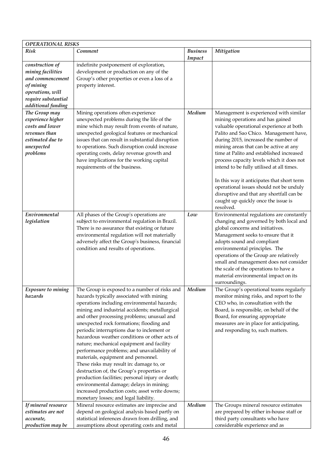| <b>OPERATIONAL RISKS</b>                                                                                                               |                                                                                                                                                                                                                                                                                                                                                                                                                                                                                                                                                                                                                                                                                                                                                                                                           |                           |                                                                                                                                                                                                                                                                                                                                                                                                                                                                                                                                                                                  |  |
|----------------------------------------------------------------------------------------------------------------------------------------|-----------------------------------------------------------------------------------------------------------------------------------------------------------------------------------------------------------------------------------------------------------------------------------------------------------------------------------------------------------------------------------------------------------------------------------------------------------------------------------------------------------------------------------------------------------------------------------------------------------------------------------------------------------------------------------------------------------------------------------------------------------------------------------------------------------|---------------------------|----------------------------------------------------------------------------------------------------------------------------------------------------------------------------------------------------------------------------------------------------------------------------------------------------------------------------------------------------------------------------------------------------------------------------------------------------------------------------------------------------------------------------------------------------------------------------------|--|
| <b>Risk</b>                                                                                                                            | Comment                                                                                                                                                                                                                                                                                                                                                                                                                                                                                                                                                                                                                                                                                                                                                                                                   | <b>Business</b><br>Impact | Mitigation                                                                                                                                                                                                                                                                                                                                                                                                                                                                                                                                                                       |  |
| construction of<br>mining facilities<br>and commencement<br>of mining<br>operations, will<br>require substantial<br>additional funding | indefinite postponement of exploration,<br>development or production on any of the<br>Group's other properties or even a loss of a<br>property interest.                                                                                                                                                                                                                                                                                                                                                                                                                                                                                                                                                                                                                                                  |                           |                                                                                                                                                                                                                                                                                                                                                                                                                                                                                                                                                                                  |  |
| The Group may<br>experience higher<br>costs and lower<br>revenues than<br>estimated due to<br>unexpected<br>problems                   | Mining operations often experience<br>unexpected problems during the life of the<br>mine which may result from events of nature,<br>unexpected geological features or mechanical<br>issues that can result in substantial disruption<br>to operations. Such disruption could increase<br>operating costs, delay revenue growth and<br>have implications for the working capital<br>requirements of the business.                                                                                                                                                                                                                                                                                                                                                                                          | Medium                    | Management is experienced with similar<br>mining operations and has gained<br>valuable operational experience at both<br>Palito and Sao Chico. Management have,<br>during 2015, increased the number of<br>mining areas that can be active at any<br>time at Palito and established increased<br>process capacity levels which it does not<br>intend to be fully utilised at all times.<br>In this way it anticipates that short term<br>operational issues should not be unduly<br>disruptive and that any shortfall can be<br>caught up quickly once the issue is<br>resolved. |  |
| Environmental<br>legislation                                                                                                           | All phases of the Group's operations are<br>subject to environmental regulation in Brazil.<br>There is no assurance that existing or future<br>environmental regulation will not materially<br>adversely affect the Group's business, financial<br>condition and results of operations.                                                                                                                                                                                                                                                                                                                                                                                                                                                                                                                   | Low                       | Environmental regulations are constantly<br>changing and governed by both local and<br>global concerns and initiatives.<br>Management seeks to ensure that it<br>adopts sound and compliant<br>environmental principles. The<br>operations of the Group are relatively<br>small and management does not consider<br>the scale of the operations to have a<br>material environmental impact on its<br>surroundings.                                                                                                                                                               |  |
| Exposure to mining<br>hazards                                                                                                          | The Group is exposed to a number of risks and<br>hazards typically associated with mining<br>operations including environmental hazards;<br>mining and industrial accidents; metallurgical<br>and other processing problems; unusual and<br>unexpected rock formations; flooding and<br>periodic interruptions due to inclement or<br>hazardous weather conditions or other acts of<br>nature; mechanical equipment and facility<br>performance problems; and unavailability of<br>materials, equipment and personnel.<br>These risks may result in: damage to, or<br>destruction of, the Group's properties or<br>production facilities; personal injury or death;<br>environmental damage; delays in mining;<br>increased production costs; asset write downs;<br>monetary losses; and legal liability. | Medium                    | The Group's operational teams regularly<br>monitor mining risks, and report to the<br>CEO who, in consultation with the<br>Board, is responsible, on behalf of the<br>Board, for ensuring appropriate<br>measures are in place for anticipating,<br>and responding to, such matters.                                                                                                                                                                                                                                                                                             |  |
| If mineral resource<br>estimates are not<br>accurate,<br>production may be                                                             | Mineral resource estimates are imprecise and<br>depend on geological analysis based partly on<br>statistical inferences drawn from drilling, and<br>assumptions about operating costs and metal                                                                                                                                                                                                                                                                                                                                                                                                                                                                                                                                                                                                           | Medium                    | The Groups mineral resource estimates<br>are prepared by either in-house staff or<br>third party consultants who have<br>considerable experience and as                                                                                                                                                                                                                                                                                                                                                                                                                          |  |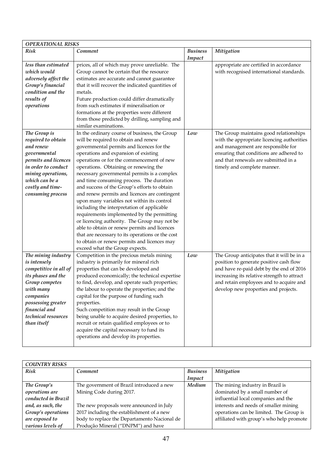| <b>OPERATIONAL RISKS</b> |                                                  |                 |                                             |  |
|--------------------------|--------------------------------------------------|-----------------|---------------------------------------------|--|
| <b>Risk</b>              | Comment                                          | <b>Business</b> | Mitigation                                  |  |
|                          |                                                  | Impact          |                                             |  |
| less than estimated      | prices, all of which may prove unreliable. The   |                 | appropriate are certified in accordance     |  |
| which would              | Group cannot be certain that the resource        |                 | with recognised international standards.    |  |
| adversely affect the     | estimates are accurate and cannot guarantee      |                 |                                             |  |
| Group's financial        | that it will recover the indicated quantities of |                 |                                             |  |
| condition and the        | metals.                                          |                 |                                             |  |
| results of               | Future production could differ dramatically      |                 |                                             |  |
| operations               | from such estimates if mineralisation or         |                 |                                             |  |
|                          | formations at the properties were different      |                 |                                             |  |
|                          | from those predicted by drilling, sampling and   |                 |                                             |  |
|                          | similar examinations.                            |                 |                                             |  |
| The Group is             | In the ordinary course of business, the Group    | Low             | The Group maintains good relationships      |  |
| required to obtain       | will be required to obtain and renew             |                 | with the appropriate licencing authorities  |  |
| and renew                | governmental permits and licences for the        |                 | and management are responsible for          |  |
| governmental             | operations and expansion of existing             |                 | ensuring that conditions are adhered to     |  |
| permits and licences     | operations or for the commencement of new        |                 | and that renewals are submitted in a        |  |
| in order to conduct      | operations. Obtaining or renewing the            |                 | timely and complete manner.                 |  |
| mining operations,       | necessary governmental permits is a complex      |                 |                                             |  |
| which can be a           | and time consuming process. The duration         |                 |                                             |  |
| costly and time-         | and success of the Group's efforts to obtain     |                 |                                             |  |
| consuming process        | and renew permits and licences are contingent    |                 |                                             |  |
|                          | upon many variables not within its control       |                 |                                             |  |
|                          | including the interpretation of applicable       |                 |                                             |  |
|                          | requirements implemented by the permitting       |                 |                                             |  |
|                          | or licencing authority. The Group may not be     |                 |                                             |  |
|                          | able to obtain or renew permits and licences     |                 |                                             |  |
|                          | that are necessary to its operations or the cost |                 |                                             |  |
|                          | to obtain or renew permits and licences may      |                 |                                             |  |
|                          | exceed what the Group expects.                   |                 |                                             |  |
| The mining industry      | Competition in the precious metals mining        | Low             | The Group anticipates that it will be in a  |  |
| is intensely             | industry is primarily for mineral rich           |                 | position to generate positive cash flow     |  |
| competitive in all of    | properties that can be developed and             |                 | and have re-paid debt by the end of 2016    |  |
| its phases and the       | produced economically; the technical expertise   |                 | increasing its relative strength to attract |  |
| Group competes           | to find, develop, and operate such properties;   |                 | and retain employees and to acquire and     |  |
| with many                | the labour to operate the properties; and the    |                 | develop new properties and projects.        |  |
| companies                | capital for the purpose of funding such          |                 |                                             |  |
| possessing greater       | properties.                                      |                 |                                             |  |
| financial and            | Such competition may result in the Group         |                 |                                             |  |
| technical resources      | being unable to acquire desired properties, to   |                 |                                             |  |
| than itself              | recruit or retain qualified employees or to      |                 |                                             |  |
|                          | acquire the capital necessary to fund its        |                 |                                             |  |
|                          | operations and develop its properties.           |                 |                                             |  |
|                          |                                                  |                 |                                             |  |

| <b>COUNTRY RISKS</b> |                                              |                 |                                          |  |
|----------------------|----------------------------------------------|-----------------|------------------------------------------|--|
| Risk                 | Comment                                      | <b>Business</b> | <b>Mitigation</b>                        |  |
|                      |                                              | Impact          |                                          |  |
| The Group's          | The government of Brazil introduced a new    | Medium          | The mining industry in Brazil is         |  |
| operations are       | Mining Code during 2017.                     |                 | dominated by a small number of           |  |
| conducted in Brazil  |                                              |                 | influential local companies and the      |  |
| and, as such, the    | The new proposals were announced in July     |                 | interests and needs of smaller mining    |  |
| Group's operations   | 2017 including the establishment of a new    |                 | operations can be limited. The Group is  |  |
| are exposed to       | body to replace the Departamento Nacional de |                 | affiliated with group's who help promote |  |
| various levels of    | Produção Mineral ("DNPM") and have           |                 |                                          |  |